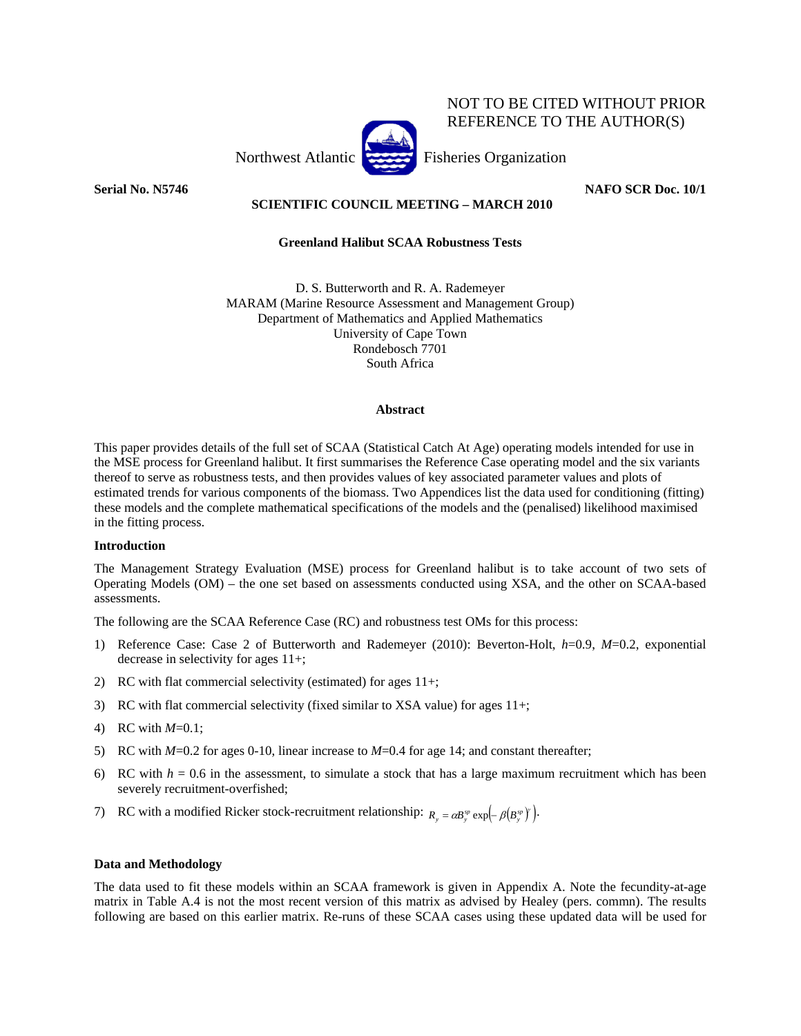Northwest Atlantic Fisheries Organization

NOT TO BE CITED WITHOUT PRIOR REFERENCE TO THE AUTHOR(S)

**Serial No. N5746 NAFO SCR Doc. 10/1** 

## **SCIENTIFIC COUNCIL MEETING – MARCH 2010**

## **Greenland Halibut SCAA Robustness Tests**

D. S. Butterworth and R. A. Rademeyer MARAM (Marine Resource Assessment and Management Group) Department of Mathematics and Applied Mathematics University of Cape Town Rondebosch 7701 South Africa

## **Abstract**

This paper provides details of the full set of SCAA (Statistical Catch At Age) operating models intended for use in the MSE process for Greenland halibut. It first summarises the Reference Case operating model and the six variants thereof to serve as robustness tests, and then provides values of key associated parameter values and plots of estimated trends for various components of the biomass. Two Appendices list the data used for conditioning (fitting) these models and the complete mathematical specifications of the models and the (penalised) likelihood maximised in the fitting process.

## **Introduction**

The Management Strategy Evaluation (MSE) process for Greenland halibut is to take account of two sets of Operating Models (OM) – the one set based on assessments conducted using XSA, and the other on SCAA-based assessments.

The following are the SCAA Reference Case (RC) and robustness test OMs for this process:

- 1) Reference Case: Case 2 of Butterworth and Rademeyer (2010): Beverton-Holt, *h*=0.9, *M*=0.2, exponential decrease in selectivity for ages 11+;
- 2) RC with flat commercial selectivity (estimated) for ages 11+;
- 3) RC with flat commercial selectivity (fixed similar to XSA value) for ages 11+;
- 4) RC with *M*=0.1;
- 5) RC with *M*=0.2 for ages 0-10, linear increase to *M*=0.4 for age 14; and constant thereafter;
- 6) RC with  $h = 0.6$  in the assessment, to simulate a stock that has a large maximum recruitment which has been severely recruitment-overfished;
- 7) RC with a modified Ricker stock-recruitment relationship:  $R_y = \alpha B_y^y \exp(-\beta (B_y^y))$ .

## **Data and Methodology**

The data used to fit these models within an SCAA framework is given in Appendix A. Note the fecundity-at-age matrix in Table A.4 is not the most recent version of this matrix as advised by Healey (pers. commn). The results following are based on this earlier matrix. Re-runs of these SCAA cases using these updated data will be used for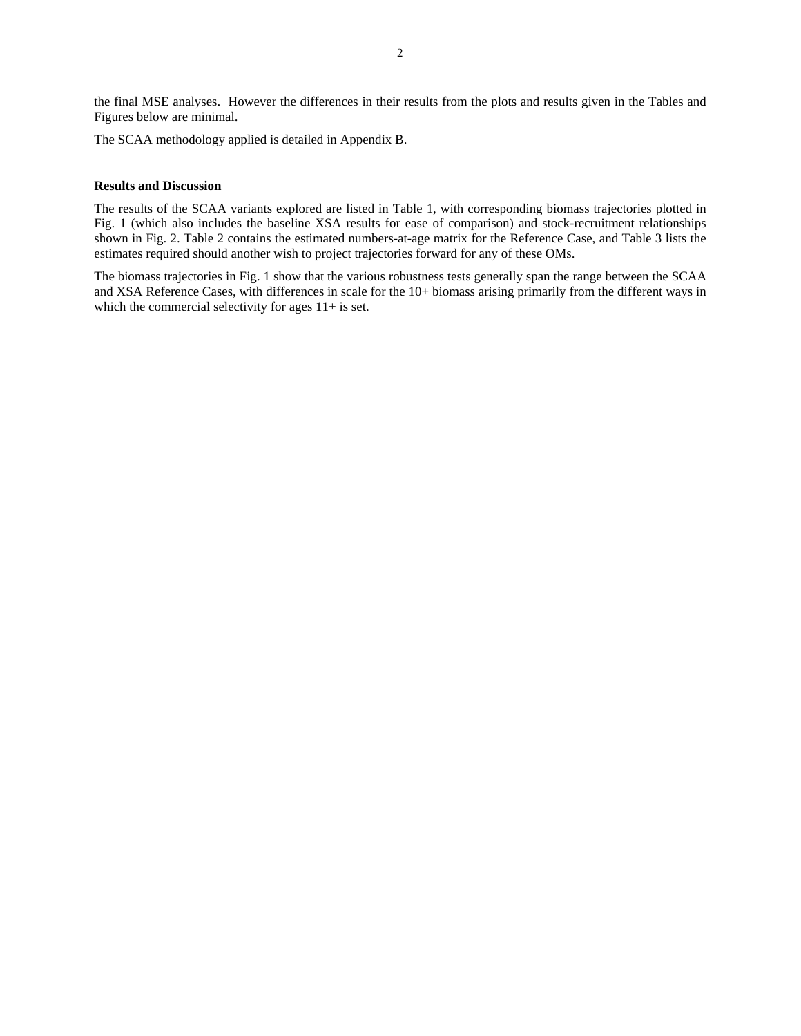the final MSE analyses. However the differences in their results from the plots and results given in the Tables and Figures below are minimal.

The SCAA methodology applied is detailed in Appendix B.

## **Results and Discussion**

The results of the SCAA variants explored are listed in Table 1, with corresponding biomass trajectories plotted in Fig. 1 (which also includes the baseline XSA results for ease of comparison) and stock-recruitment relationships shown in Fig. 2. Table 2 contains the estimated numbers-at-age matrix for the Reference Case, and Table 3 lists the estimates required should another wish to project trajectories forward for any of these OMs.

The biomass trajectories in Fig. 1 show that the various robustness tests generally span the range between the SCAA and XSA Reference Cases, with differences in scale for the 10+ biomass arising primarily from the different ways in which the commercial selectivity for ages  $11+$  is set.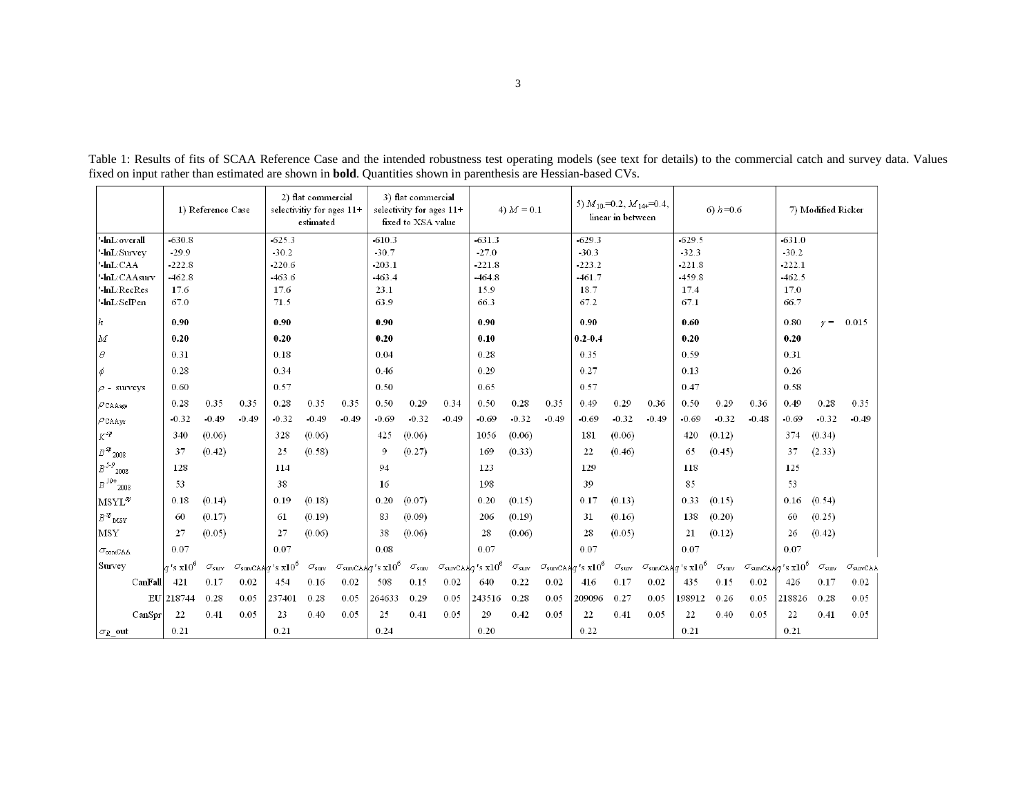|                             |                         | 1) Reference Case   |         |                                                | 2) flat commercial<br>estimated | selectivitiv for ages $11+$                |                | 3) flat commercial<br>selectivity for ages 11+<br>fixed to XSA value |         |                                       | 4) $M = 0.1$        |         | 5) $M_{10}$ =0.2, $M_{14+}$ =0.4,     | linear in between   |         |                                              | 6) $h = 0.6$        |         |                                                | 7) Modified Ricker  |                        |
|-----------------------------|-------------------------|---------------------|---------|------------------------------------------------|---------------------------------|--------------------------------------------|----------------|----------------------------------------------------------------------|---------|---------------------------------------|---------------------|---------|---------------------------------------|---------------------|---------|----------------------------------------------|---------------------|---------|------------------------------------------------|---------------------|------------------------|
| -lnL:overall                | $-630.8$                |                     |         | 625.3                                          |                                 |                                            | $-610.3$       |                                                                      |         | $-631.3$                              |                     |         | $-629.3$                              |                     |         | $-629.5$                                     |                     |         | $-631.0$                                       |                     |                        |
| hL:Survey                   | 29.9                    |                     |         | $-30.2$                                        |                                 |                                            | $-30.7$        |                                                                      |         | 27.0                                  |                     |         | 30.3                                  |                     |         | $-32.3$                                      |                     |         | $-30.2$                                        |                     |                        |
| -lnL:CAA                    | $-222.8$                |                     |         | 220.6                                          |                                 |                                            | $-203.1$       |                                                                      |         | $-221.8$                              |                     |         | $-223.2$                              |                     |         | $-221.8$                                     |                     |         | $-222.1$                                       |                     |                        |
| -lnL:CAAsurv                | $-462.8$                |                     |         | $-463.6$                                       |                                 |                                            | $-463.4$       |                                                                      |         | $-464.8$                              |                     |         | $-461.7$                              |                     |         | $-459.8$                                     |                     |         | $-462.5$                                       |                     |                        |
| -lnL:RecRes                 | 17.6                    |                     |         | 17.6                                           |                                 |                                            | 23.1           |                                                                      |         | 15.9                                  |                     |         | 18.7                                  |                     |         | 17.4                                         |                     |         | 17.0                                           |                     |                        |
| -lnL:SelPen                 | 67.0                    |                     |         | 71.5                                           |                                 |                                            | 63.9           |                                                                      |         | 66.3                                  |                     |         | 67.2                                  |                     |         | 67.1                                         |                     |         | 66.7                                           |                     |                        |
| h                           | 0.90                    |                     |         | 0.90                                           |                                 |                                            | 0.90           |                                                                      |         | 0.90                                  |                     |         | 0.90                                  |                     |         | 0.60                                         |                     |         | 0.80                                           | $\nu =$             | 0.015                  |
| M                           | 0.20                    |                     |         | 0.20                                           |                                 |                                            | 0.20           |                                                                      |         | 0.10                                  |                     |         | $0.2 - 0.4$                           |                     |         | 0.20                                         |                     |         | 0.20                                           |                     |                        |
| $\theta$                    | 0.31                    |                     |         | 0.18                                           |                                 |                                            | 0.04           |                                                                      |         | 0.28                                  |                     |         | 0.35                                  |                     |         | 0.59                                         |                     |         | 0.31                                           |                     |                        |
| ó                           | 0.28                    |                     |         | 0.34                                           |                                 |                                            | 0.46           |                                                                      |         | 0.29                                  |                     |         | 0.27                                  |                     |         | 0.13                                         |                     |         | 0.26                                           |                     |                        |
| $\rho$ - surveys            | 0.60                    |                     |         | 0.57                                           |                                 |                                            | 0.50           |                                                                      |         | 0.65                                  |                     |         | 0.57                                  |                     |         | 0.47                                         |                     |         | 0.58                                           |                     |                        |
| $\rho$ CAAage               | 0.28                    | 0.35                | 0.35    | 0.28                                           | 0.35                            | 0.35                                       | 0.50           | 0.29                                                                 | 0.34    | 0.50                                  | 0.28                | 0.35    | 0.49                                  | 0.29                | 0.36    | 0.50                                         | 0.29                | 0.36    | 0.49                                           | 0.28                | 0.35                   |
| $\rho$ CAAyr                | $-0.32$                 | $-0.49$             | $-0.49$ | $-0.32$                                        | $-0.49$                         | $-0.49$                                    | $-0.69$        | $-0.32$                                                              | $-0.49$ | $-0.69$                               | $-0.32$             | $-0.49$ | $-0.69$                               | $-0.32$             | $-0.49$ | $-0.69$                                      | $-0.32$             | $-0.48$ | $-0.69$                                        | $-0.32$             | $-0.49$                |
| $K^{sp}$                    | 340                     | (0.06)              |         | 328                                            | (0.06)                          |                                            | 425            | (0.06)                                                               |         | 1056                                  | (0.06)              |         | 181                                   | (0.06)              |         | 420                                          | (0.12)              |         | 374                                            | (0.34)              |                        |
| $B\,sp_{2008}$              | 37                      | (0.42)              |         | 25                                             | (0.58)                          |                                            | $\overline{9}$ | (0.27)                                                               |         | 169                                   | (0.33)              |         | 22                                    | (0.46)              |         | 65                                           | (0.45)              |         | 37                                             | (2.33)              |                        |
| $B^{5.9}$<br>$\degree$ 2008 | 128                     |                     |         | 114                                            |                                 |                                            | 94             |                                                                      |         | 123                                   |                     |         | 129                                   |                     |         | 118                                          |                     |         | 125                                            |                     |                        |
| $B^{10+}$<br>2008           | 53                      |                     |         | 38                                             |                                 |                                            | 16             |                                                                      |         | 198                                   |                     |         | 39                                    |                     |         | 85                                           |                     |         | 53                                             |                     |                        |
| $\vert$ MSYL <sup>sp</sup>  | 0.18                    | (0.14)              |         | 0.19                                           | (0.18)                          |                                            | 0.20           | (0.07)                                                               |         | 0.20                                  | (0.15)              |         | 0.17                                  | (0.13)              |         | 0.33                                         | (0.15)              |         | 0.16                                           | (0.54)              |                        |
| $\beta^{sp}{}_{\rm MSY}$    | 60                      | (0.17)              |         | 61                                             | (0.19)                          |                                            | 83             | (0.09)                                                               |         | 206                                   | (0.19)              |         | 31                                    | (0.16)              |         | 138                                          | (0.20)              |         | 60                                             | (0.25)              |                        |
| MSY                         | 27                      | (0.05)              |         | 27                                             | (0.06)                          |                                            | 38             | (0.06)                                                               |         | 28                                    | (0.06)              |         | 28                                    | (0.05)              |         | 21                                           | (0.12)              |         | 26                                             | (0.42)              |                        |
| $\sigma$ <sub>com</sub> CAA | 0.07                    |                     |         | 0.07                                           |                                 |                                            | 0.08           |                                                                      |         | 0.07                                  |                     |         | 0.07                                  |                     |         | 0.07                                         |                     |         | 0.07                                           |                     |                        |
| Survey                      | $q$ 's x10 <sup>6</sup> | $\sigma_{\rm surv}$ |         | $\sigma_{\text{survCAA}}$ q's x10 <sup>6</sup> | $\sigma_{\rm surv}$             | $\sigma_{\text{survCAA}}$ s $\text{x10}^6$ |                | $\sigma_{\rm surv}$                                                  |         | $\sigma_{\text{survCAA}}q$ 's $x10^6$ | $\sigma_{\rm surv}$ |         | $\sigma_{\text{survCAA}}g$ 's $x10^6$ | $\sigma_{\rm surv}$ |         | $\sigma_{\text{survCAA}}/q$ 's $\times 10^6$ | $\sigma_{\rm surv}$ |         | $\sigma_{\text{survCAA}}q$ 's x10 <sup>6</sup> | $\sigma_{\rm surv}$ | $\sigma_{\rm survCAR}$ |
| CanFall                     | 421                     | 0.17                | 0.02    | 454                                            | 0.16                            | 0.02                                       | 508            | 0.15                                                                 | 0.02    | 640                                   | 0.22                | 0.02    | 416                                   | 0.17                | 0.02    | 435                                          | 0.15                | 0.02    | 426                                            | 0.17                | 0.02                   |
|                             | EU 218744               | 0.28                | 0.05    | 237401                                         | 0.28                            | 0.05                                       | 264633         | 0.29                                                                 | 0.05    | 243516                                | 0.28                | 0.05    | 209096                                | 0.27                | 0.05    | 198912                                       | 0.26                | 0.05    | 218826                                         | 0.28                | 0.05                   |
| CanSpr                      | 22                      | 0.41                | 0.05    | 23                                             | 0.40                            | 0.05                                       | 25             | 0.41                                                                 | 0.05    | 29                                    | 0.42                | 0.05    | 22                                    | 0.41                | 0.05    | 22                                           | 0.40                | 0.05    | 22                                             | 0.41                | 0.05                   |
| $ \sigma_{R}\_\text{out}$   | 0.21                    |                     |         | 0.21                                           |                                 |                                            | 0.24           |                                                                      |         | 0.20                                  |                     |         | 0.22                                  |                     |         | 0.21                                         |                     |         | 0.21                                           |                     |                        |

Table 1: Results of fits of SCAA Reference Case and the intended robustness test operating models (see text for details) to the commercial catch and survey data. Values fixed on input rather than estimated are shown in **bold**. Quantities shown in parenthesis are Hessian-based CVs.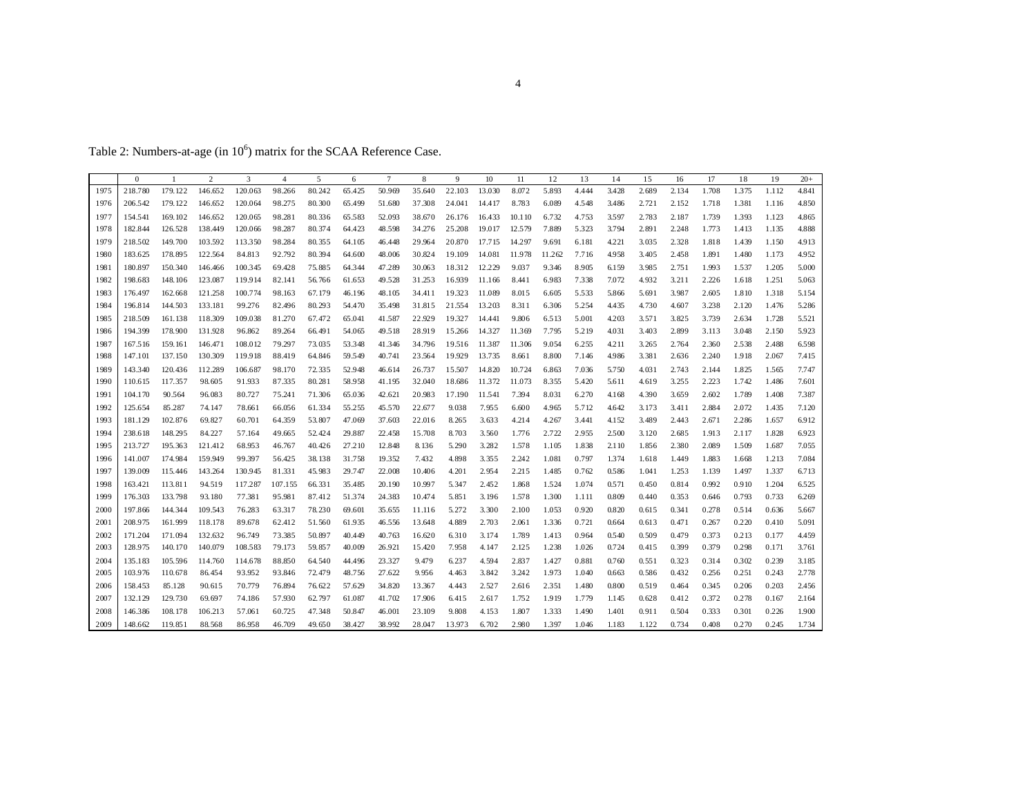Table 2: Numbers-at-age (in  $10^6$ ) matrix for the SCAA Reference Case.

|      | $\mathbf{0}$ |         | $\overline{c}$ | $\overline{3}$ | $\overline{4}$ | 5      | 6      | $7\phantom{.0}$ | 8      | 9      | 10     | 11     | 12     | 13    | 14    | 15    | 16    | 17    | 18    | 19    | $20+$ |
|------|--------------|---------|----------------|----------------|----------------|--------|--------|-----------------|--------|--------|--------|--------|--------|-------|-------|-------|-------|-------|-------|-------|-------|
| 1975 | 218.780      | 179.122 | 146.652        | 120.063        | 98.266         | 80.242 | 65.425 | 50.969          | 35.640 | 22.103 | 13.030 | 8.072  | 5.893  | 4.444 | 3.428 | 2.689 | 2.134 | 1.708 | 1.375 | 1.112 | 4.841 |
| 1976 | 206.542      | 179.122 | 146.652        | 120.064        | 98.275         | 80.300 | 65.499 | 51.680          | 37.308 | 24.041 | 14.417 | 8.783  | 6.089  | 4.548 | 3.486 | 2.721 | 2.152 | 1.718 | 1.381 | 1.116 | 4.850 |
| 1977 | 154.541      | 169.102 | 146.652        | 120.065        | 98.281         | 80.336 | 65.583 | 52.093          | 38.670 | 26.176 | 16.433 | 10.110 | 6.732  | 4.753 | 3.597 | 2.783 | 2.187 | 1.739 | 1.393 | 1.123 | 4.865 |
| 1978 | 182.844      | 126.528 | 138.449        | 120.066        | 98.287         | 80.374 | 64.423 | 48.598          | 34.276 | 25.208 | 19.017 | 12.579 | 7.889  | 5.323 | 3.794 | 2.891 | 2.248 | 1.773 | 1.413 | 1.135 | 4.888 |
| 1979 | 218.502      | 149.700 | 103.592        | 113.350        | 98.284         | 80.355 | 64.105 | 46.448          | 29.964 | 20.870 | 17.715 | 14.297 | 9.691  | 6.181 | 4.221 | 3.035 | 2.328 | 1.818 | 1.439 | 1.150 | 4.913 |
| 1980 | 183.625      | 178.895 | 122.564        | 84.813         | 92.792         | 80.394 | 64.600 | 48.006          | 30.824 | 19.109 | 14.081 | 11.978 | 11.262 | 7.716 | 4.958 | 3.405 | 2.458 | 1.891 | 1.480 | 1.173 | 4.952 |
| 1981 | 180.897      | 150.340 | 146.466        | 100.345        | 69.428         | 75.885 | 64.344 | 47.289          | 30.063 | 18.312 | 12.229 | 9.037  | 9.346  | 8.905 | 6.159 | 3.985 | 2.751 | 1.993 | 1.537 | 1.205 | 5.000 |
| 1982 | 198.683      | 148.106 | 123.087        | 119.914        | 82.141         | 56.766 | 61.653 | 49.528          | 31.253 | 16.939 | 11.166 | 8.441  | 6.983  | 7.338 | 7.072 | 4.932 | 3.211 | 2.226 | 1.618 | 1.251 | 5.063 |
| 1983 | 176.497      | 162.668 | 121.258        | 100.774        | 98.163         | 67.179 | 46.196 | 48.105          | 34.411 | 19.323 | 11.089 | 8.015  | 6.605  | 5.533 | 5.866 | 5.691 | 3.987 | 2.605 | 1.810 | 1.318 | 5.154 |
| 1984 | 196.814      | 144.503 | 133.181        | 99.276         | 82.496         | 80.293 | 54.470 | 35.498          | 31.815 | 21.554 | 13.203 | 8.311  | 6.306  | 5.254 | 4.435 | 4.730 | 4.607 | 3.238 | 2.120 | 1.476 | 5.286 |
| 1985 | 218.509      | 161.138 | 118.309        | 109.038        | 81.270         | 67.472 | 65.041 | 41.587          | 22.929 | 19.327 | 14.441 | 9.806  | 6.513  | 5.001 | 4.203 | 3.571 | 3.825 | 3.739 | 2.634 | 1.728 | 5.521 |
| 1986 | 194.399      | 178.900 | 131.928        | 96.862         | 89.264         | 66.491 | 54.065 | 49.518          | 28.919 | 15.266 | 14.327 | 11.369 | 7.795  | 5.219 | 4.031 | 3.403 | 2.899 | 3.113 | 3.048 | 2.150 | 5.923 |
| 1987 | 167.516      | 159.161 | 146.471        | 108.012        | 79.297         | 73.035 | 53.348 | 41.346          | 34.796 | 19.516 | 11.387 | 11.306 | 9.054  | 6.255 | 4.211 | 3.265 | 2.764 | 2.360 | 2.538 | 2.488 | 6.598 |
| 1988 | 147.101      | 137.150 | 130.309        | 119.918        | 88.419         | 64.846 | 59.549 | 40.741          | 23.564 | 19.929 | 13.735 | 8.661  | 8.800  | 7.146 | 4.986 | 3.381 | 2.636 | 2.240 | 1.918 | 2.067 | 7.415 |
| 1989 | 143.340      | 120.436 | 112.289        | 106.687        | 98.170         | 72.335 | 52.948 | 46.614          | 26.737 | 15.507 | 14.820 | 10.724 | 6.863  | 7.036 | 5.750 | 4.031 | 2.743 | 2.144 | 1.825 | 1.565 | 7.747 |
| 1990 | 110.615      | 117.357 | 98.605         | 91.933         | 87.335         | 80.281 | 58.958 | 41.195          | 32.040 | 18.686 | 11.372 | 11.073 | 8.355  | 5.420 | 5.611 | 4.619 | 3.255 | 2.223 | 1.742 | 1.486 | 7.601 |
| 1991 | 104.170      | 90.564  | 96.083         | 80.727         | 75.241         | 71.306 | 65.036 | 42.621          | 20.983 | 17.190 | 11.541 | 7.394  | 8.031  | 6.270 | 4.168 | 4.390 | 3.659 | 2.602 | 1.789 | 1.408 | 7.387 |
| 1992 | 125.654      | 85.287  | 74.147         | 78.661         | 66.056         | 61.334 | 55.255 | 45.570          | 22.677 | 9.038  | 7.955  | 6.600  | 4.965  | 5.712 | 4.642 | 3.173 | 3.411 | 2.884 | 2.072 | 1.435 | 7.120 |
| 1993 | 181.129      | 102.876 | 69.827         | 60.701         | 64.359         | 53.807 | 47.069 | 37.603          | 22.016 | 8.265  | 3.633  | 4.214  | 4.267  | 3.441 | 4.152 | 3.489 | 2.443 | 2.671 | 2.286 | 1.657 | 6.912 |
| 1994 | 238.618      | 148.295 | 84.227         | 57.164         | 49.665         | 52.424 | 29.887 | 22.458          | 15.708 | 8.703  | 3.560  | 1.776  | 2.722  | 2.955 | 2.500 | 3.120 | 2.685 | 1.913 | 2.117 | 1.828 | 6.923 |
| 1995 | 213.727      | 195.363 | 121.412        | 68.953         | 46.767         | 40.426 | 27.210 | 12.848          | 8.136  | 5.290  | 3.282  | 1.578  | 1.105  | 1.838 | 2.110 | 1.856 | 2.380 | 2.089 | 1.509 | 1.687 | 7.055 |
| 1996 | 141.007      | 174.984 | 159.949        | 99.397         | 56.425         | 38.138 | 31.758 | 19.352          | 7.432  | 4.898  | 3.355  | 2.242  | 1.081  | 0.797 | 1.374 | 1.618 | 1.449 | 1.883 | 1.668 | 1.213 | 7.084 |
| 1997 | 139.009      | 115.446 | 143.264        | 130.945        | 81.331         | 45.983 | 29.747 | 22.008          | 10.406 | 4.201  | 2.954  | 2.215  | 1.485  | 0.762 | 0.586 | 1.041 | 1.253 | 1.139 | 1.497 | 1.337 | 6.713 |
| 1998 | 163.421      | 113.811 | 94.519         | 117.287        | 107.155        | 66.331 | 35.485 | 20.190          | 10.997 | 5.347  | 2.452  | 1.868  | 1.524  | 1.074 | 0.571 | 0.450 | 0.814 | 0.992 | 0.910 | 1.204 | 6.525 |
| 1999 | 176.303      | 133.798 | 93.180         | 77.381         | 95.981         | 87.412 | 51.374 | 24.383          | 10.474 | 5.851  | 3.196  | 1.578  | 1.300  | 1.111 | 0.809 | 0.440 | 0.353 | 0.646 | 0.793 | 0.733 | 6.269 |
| 2000 | 197.866      | 144.344 | 109.543        | 76.283         | 63.317         | 78.230 | 69.601 | 35.655          | 11.116 | 5.272  | 3.300  | 2.100  | 1.053  | 0.920 | 0.820 | 0.615 | 0.341 | 0.278 | 0.514 | 0.636 | 5.667 |
| 2001 | 208.975      | 161.999 | 118.178        | 89.678         | 62.412         | 51.560 | 61.935 | 46.556          | 13.648 | 4.889  | 2.703  | 2.061  | 1.336  | 0.721 | 0.664 | 0.613 | 0.471 | 0.267 | 0.220 | 0.410 | 5.091 |
| 2002 | 171.204      | 171.094 | 132.632        | 96.749         | 73.385         | 50.897 | 40.449 | 40.763          | 16.620 | 6.310  | 3.174  | 1.789  | 1.413  | 0.964 | 0.540 | 0.509 | 0.479 | 0.373 | 0.213 | 0.177 | 4.459 |
| 2003 | 128.975      | 140.170 | 140.079        | 108.583        | 79.173         | 59.857 | 40.009 | 26.921          | 15.420 | 7.958  | 4.147  | 2.125  | 1.238  | 1.026 | 0.724 | 0.415 | 0.399 | 0.379 | 0.298 | 0.171 | 3.761 |
| 2004 | 135.183      | 105.596 | 114.760        | 114.678        | 88.850         | 64.540 | 44.496 | 23.327          | 9.479  | 6.237  | 4.594  | 2.837  | 1.427  | 0.881 | 0.760 | 0.551 | 0.323 | 0.314 | 0.302 | 0.239 | 3.185 |
| 2005 | 103.976      | 110.678 | 86.454         | 93.952         | 93.846         | 72.479 | 48.756 | 27.622          | 9.956  | 4.463  | 3.842  | 3.242  | 1.973  | 1.040 | 0.663 | 0.586 | 0.432 | 0.256 | 0.251 | 0.243 | 2.778 |
| 2006 | 158.453      | 85.128  | 90.615         | 70.779         | 76.894         | 76.622 | 57.629 | 34.820          | 13.367 | 4.443  | 2.527  | 2.616  | 2.351  | 1.480 | 0.800 | 0.519 | 0.464 | 0.345 | 0.206 | 0.203 | 2.456 |
| 2007 | 132.129      | 129.730 | 69.697         | 74.186         | 57.930         | 62.797 | 61.087 | 41.702          | 17.906 | 6.415  | 2.617  | 1.752  | 1.919  | 1.779 | 1.145 | 0.628 | 0.412 | 0.372 | 0.278 | 0.167 | 2.164 |
| 2008 | 146.386      | 108.178 | 106.213        | 57.061         | 60.725         | 47.348 | 50.847 | 46.001          | 23.109 | 9.808  | 4.153  | 1.807  | 1.333  | 1.490 | 1.401 | 0.911 | 0.504 | 0.333 | 0.301 | 0.226 | 1.900 |
| 2009 | 148.662      | 119.851 | 88.568         | 86.958         | 46.709         | 49.650 | 38.427 | 38.992          | 28.047 | 13.973 | 6.702  | 2.980  | 1.397  | 1.046 | 1.183 | 1.122 | 0.734 | 0.408 | 0.270 | 0.245 | 1.734 |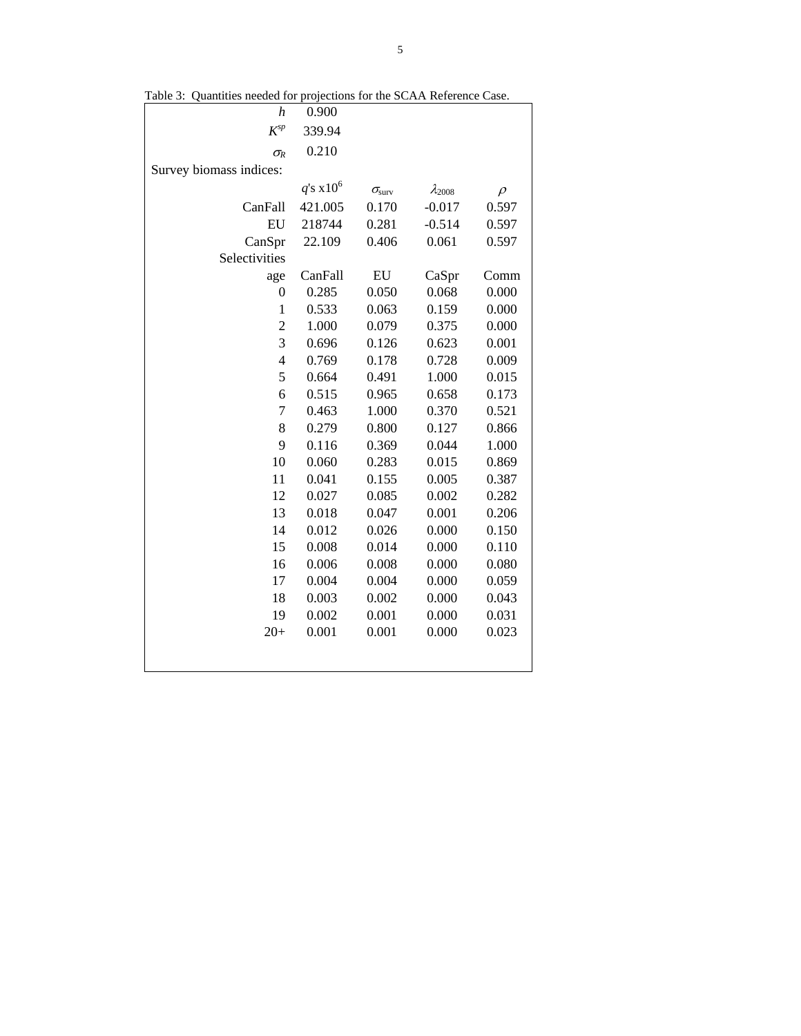| raon J.<br>guantities needed for projections for the SCAA Kelefence Case. |                |                        |                  |        |
|---------------------------------------------------------------------------|----------------|------------------------|------------------|--------|
| h                                                                         | 0.900          |                        |                  |        |
| $K^{sp}$                                                                  | 339.94         |                        |                  |        |
| $\sigma_R$                                                                | 0.210          |                        |                  |        |
| Survey biomass indices:                                                   |                |                        |                  |        |
|                                                                           | $q$ 's $x10^6$ | $\sigma_{\text{surv}}$ | $\lambda_{2008}$ | $\rho$ |
| CanFall                                                                   | 421.005        | 0.170                  | $-0.017$         | 0.597  |
| EU                                                                        | 218744         | 0.281                  | $-0.514$         | 0.597  |
| CanSpr                                                                    | 22.109         | 0.406                  | 0.061            | 0.597  |
| Selectivities                                                             |                |                        |                  |        |
| age                                                                       | CanFall        | ${\rm EU}$             | CaSpr            | Comm   |
| $\boldsymbol{0}$                                                          | 0.285          | 0.050                  | 0.068            | 0.000  |
| $\mathbf{1}$                                                              | 0.533          | 0.063                  | 0.159            | 0.000  |
| $\overline{c}$                                                            | 1.000          | 0.079                  | 0.375            | 0.000  |
| 3                                                                         | 0.696          | 0.126                  | 0.623            | 0.001  |
| $\overline{4}$                                                            | 0.769          | 0.178                  | 0.728            | 0.009  |
| 5                                                                         | 0.664          | 0.491                  | 1.000            | 0.015  |
| 6                                                                         | 0.515          | 0.965                  | 0.658            | 0.173  |
| 7                                                                         | 0.463          | 1.000                  | 0.370            | 0.521  |
| 8                                                                         | 0.279          | 0.800                  | 0.127            | 0.866  |
| 9                                                                         | 0.116          | 0.369                  | 0.044            | 1.000  |
| 10                                                                        | 0.060          | 0.283                  | 0.015            | 0.869  |
| 11                                                                        | 0.041          | 0.155                  | 0.005            | 0.387  |
| 12                                                                        | 0.027          | 0.085                  | 0.002            | 0.282  |
| 13                                                                        | 0.018          | 0.047                  | 0.001            | 0.206  |
| 14                                                                        | 0.012          | 0.026                  | 0.000            | 0.150  |
| 15                                                                        | 0.008          | 0.014                  | 0.000            | 0.110  |
| 16                                                                        | 0.006          | 0.008                  | 0.000            | 0.080  |
| 17                                                                        | 0.004          | 0.004                  | 0.000            | 0.059  |
| 18                                                                        | 0.003          | 0.002                  | 0.000            | 0.043  |
| 19                                                                        | 0.002          | 0.001                  | 0.000            | 0.031  |
| $20+$                                                                     | 0.001          | 0.001                  | 0.000            | 0.023  |
|                                                                           |                |                        |                  |        |
|                                                                           |                |                        |                  |        |

Table 3: Quantities needed for projections for the SCAA Reference Case.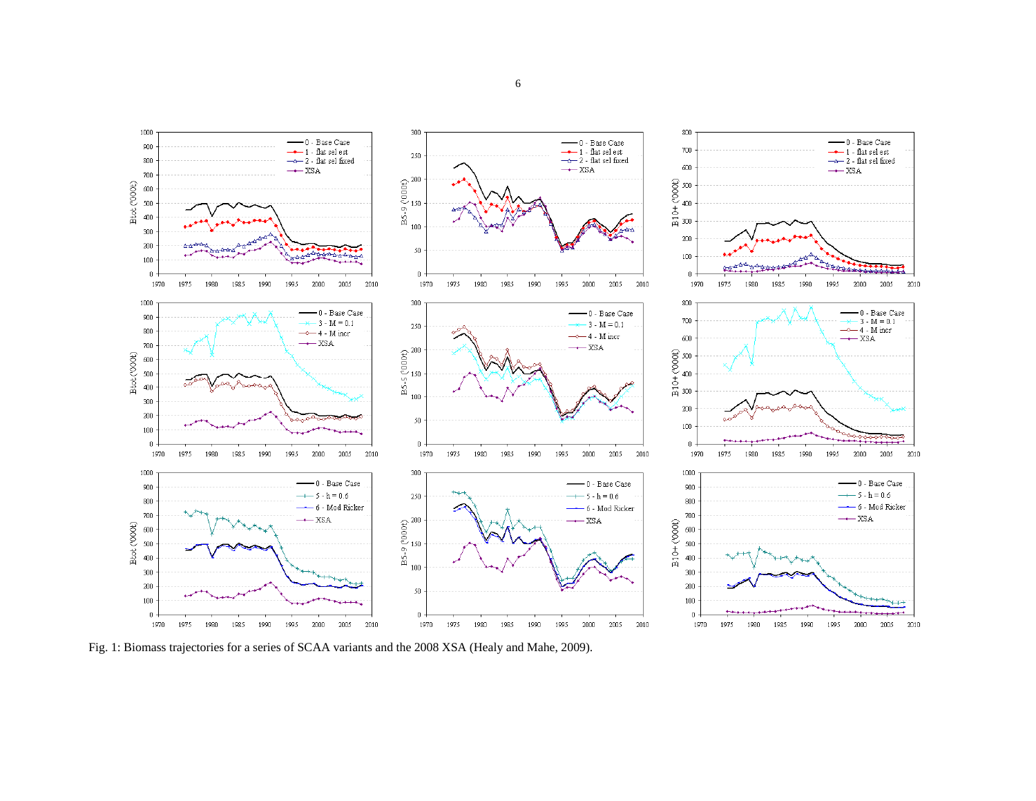

Fig. 1: Biomass trajectories for a series of SCAA variants and the 2008 XSA (Healy and Mahe, 2009).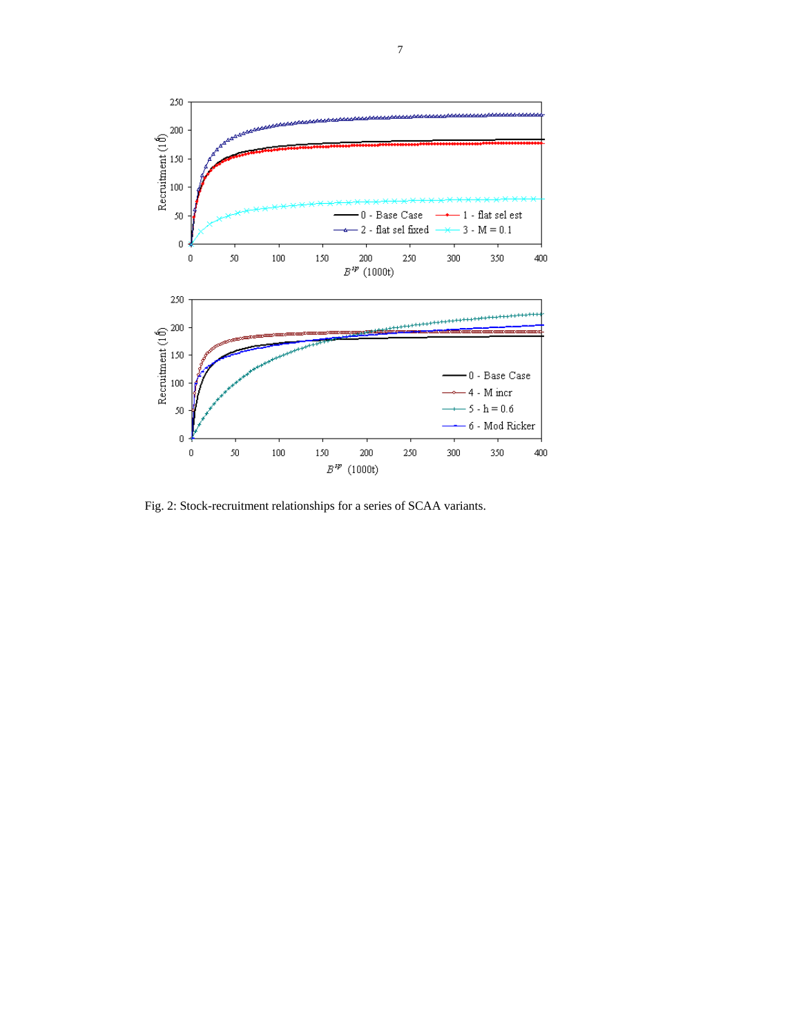

Fig. 2: Stock-recruitment relationships for a series of SCAA variants.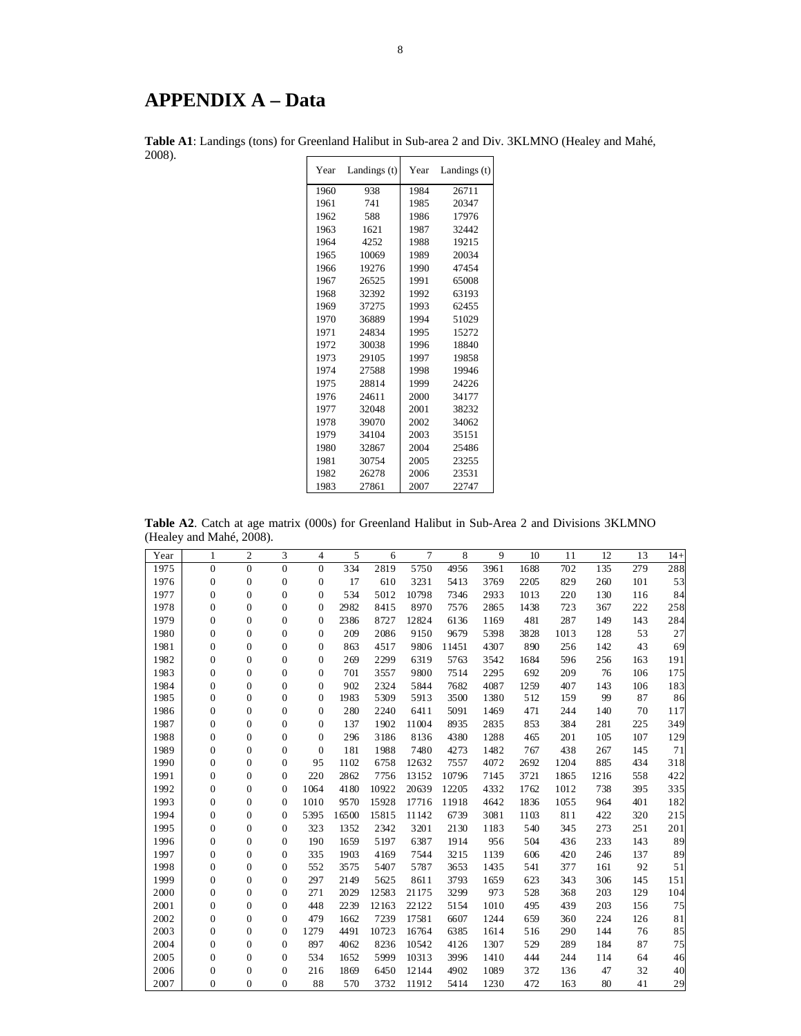# **APPENDIX A – Data**

| Year | Landings (t) | Year | Landings $(t)$ |
|------|--------------|------|----------------|
| 1960 | 938          | 1984 | 26711          |
| 1961 | 741          | 1985 | 20347          |
| 1962 | 588          | 1986 | 17976          |
| 1963 | 1621         | 1987 | 32442          |
| 1964 | 4252         | 1988 | 19215          |
| 1965 | 10069        | 1989 | 20034          |
| 1966 | 19276        | 1990 | 47454          |
| 1967 | 26525        | 1991 | 65008          |
| 1968 | 32392        | 1992 | 63193          |
| 1969 | 37275        | 1993 | 62455          |
| 1970 | 36889        | 1994 | 51029          |
| 1971 | 24834        | 1995 | 15272          |
| 1972 | 30038        | 1996 | 18840          |
| 1973 | 29105        | 1997 | 19858          |
| 1974 | 27588        | 1998 | 19946          |
| 1975 | 28814        | 1999 | 24226          |
| 1976 | 24611        | 2000 | 34177          |
| 1977 | 32048        | 2001 | 38232          |
| 1978 | 39070        | 2002 | 34062          |
| 1979 | 34104        | 2003 | 35151          |
| 1980 | 32867        | 2004 | 25486          |
| 1981 | 30754        | 2005 | 23255          |
| 1982 | 26278        | 2006 | 23531          |
| 1983 | 27861        | 2007 | 22747          |

**Table A1**: Landings (tons) for Greenland Halibut in Sub-area 2 and Div. 3KLMNO (Healey and Mahé, 2008).

**Table A2**. Catch at age matrix (000s) for Greenland Halibut in Sub-Area 2 and Divisions 3KLMNO (Healey and Mahé, 2008).

| Year | $\mathbf{1}$     | $\overline{2}$   | 3                | $\overline{4}$   | 5     | 6     | 7     | 8     | 9    | 10   | 11   | 12   | 13  | $14+$ |
|------|------------------|------------------|------------------|------------------|-------|-------|-------|-------|------|------|------|------|-----|-------|
| 1975 | $\boldsymbol{0}$ | $\overline{0}$   | $\overline{0}$   | $\mathbf{0}$     | 334   | 2819  | 5750  | 4956  | 3961 | 1688 | 702  | 135  | 279 | 288   |
| 1976 | $\boldsymbol{0}$ | $\boldsymbol{0}$ | $\boldsymbol{0}$ | $\boldsymbol{0}$ | 17    | 610   | 3231  | 5413  | 3769 | 2205 | 829  | 260  | 101 | 53    |
| 1977 | $\mathbf{0}$     | $\mathbf{0}$     | $\overline{0}$   | $\boldsymbol{0}$ | 534   | 5012  | 10798 | 7346  | 2933 | 1013 | 220  | 130  | 116 | 84    |
| 1978 | $\boldsymbol{0}$ | $\mathbf{0}$     | $\overline{0}$   | $\overline{0}$   | 2982  | 8415  | 8970  | 7576  | 2865 | 1438 | 723  | 367  | 222 | 258   |
| 1979 | $\boldsymbol{0}$ | $\boldsymbol{0}$ | $\overline{0}$   | $\mathbf{0}$     | 2386  | 8727  | 12824 | 6136  | 1169 | 481  | 287  | 149  | 143 | 284   |
| 1980 | $\boldsymbol{0}$ | $\boldsymbol{0}$ | $\overline{0}$   | $\boldsymbol{0}$ | 209   | 2086  | 9150  | 9679  | 5398 | 3828 | 1013 | 128  | 53  | 27    |
| 1981 | $\boldsymbol{0}$ | $\boldsymbol{0}$ | $\overline{0}$   | $\boldsymbol{0}$ | 863   | 4517  | 9806  | 11451 | 4307 | 890  | 256  | 142  | 43  | 69    |
| 1982 | $\boldsymbol{0}$ | $\boldsymbol{0}$ | $\overline{0}$   | $\boldsymbol{0}$ | 269   | 2299  | 6319  | 5763  | 3542 | 1684 | 596  | 256  | 163 | 191   |
| 1983 | $\boldsymbol{0}$ | $\boldsymbol{0}$ | $\overline{0}$   | $\boldsymbol{0}$ | 701   | 3557  | 9800  | 7514  | 2295 | 692  | 209  | 76   | 106 | 175   |
| 1984 | $\boldsymbol{0}$ | $\boldsymbol{0}$ | $\boldsymbol{0}$ | $\mathbf{0}$     | 902   | 2324  | 5844  | 7682  | 4087 | 1259 | 407  | 143  | 106 | 183   |
| 1985 | $\boldsymbol{0}$ | $\boldsymbol{0}$ | $\boldsymbol{0}$ | $\mathbf{0}$     | 1983  | 5309  | 5913  | 3500  | 1380 | 512  | 159  | 99   | 87  | 86    |
| 1986 | $\boldsymbol{0}$ | $\boldsymbol{0}$ | $\boldsymbol{0}$ | $\boldsymbol{0}$ | 280   | 2240  | 6411  | 5091  | 1469 | 471  | 244  | 140  | 70  | 117   |
| 1987 | $\boldsymbol{0}$ | $\boldsymbol{0}$ | $\overline{0}$   | $\boldsymbol{0}$ | 137   | 1902  | 11004 | 8935  | 2835 | 853  | 384  | 281  | 225 | 349   |
| 1988 | $\boldsymbol{0}$ | $\mathbf{0}$     | $\overline{0}$   | $\mathbf{0}$     | 296   | 3186  | 8136  | 4380  | 1288 | 465  | 201  | 105  | 107 | 129   |
| 1989 | $\boldsymbol{0}$ | $\mathbf{0}$     | $\overline{0}$   | $\overline{0}$   | 181   | 1988  | 7480  | 4273  | 1482 | 767  | 438  | 267  | 145 | 71    |
| 1990 | $\boldsymbol{0}$ | $\mathbf{0}$     | $\overline{0}$   | 95               | 1102  | 6758  | 12632 | 7557  | 4072 | 2692 | 1204 | 885  | 434 | 318   |
| 1991 | $\boldsymbol{0}$ | $\boldsymbol{0}$ | $\boldsymbol{0}$ | 220              | 2862  | 7756  | 13152 | 10796 | 7145 | 3721 | 1865 | 1216 | 558 | 422   |
| 1992 | $\boldsymbol{0}$ | $\boldsymbol{0}$ | $\overline{0}$   | 1064             | 4180  | 10922 | 20639 | 12205 | 4332 | 1762 | 1012 | 738  | 395 | 335   |
| 1993 | $\boldsymbol{0}$ | $\boldsymbol{0}$ | $\mathbf{0}$     | 1010             | 9570  | 15928 | 17716 | 11918 | 4642 | 1836 | 1055 | 964  | 401 | 182   |
| 1994 | $\boldsymbol{0}$ | $\boldsymbol{0}$ | $\mathbf{0}$     | 5395             | 16500 | 15815 | 11142 | 6739  | 3081 | 1103 | 811  | 422  | 320 | 215   |
| 1995 | $\boldsymbol{0}$ | $\boldsymbol{0}$ | $\mathbf{0}$     | 323              | 1352  | 2342  | 3201  | 2130  | 1183 | 540  | 345  | 273  | 251 | 201   |
| 1996 | $\boldsymbol{0}$ | $\boldsymbol{0}$ | $\mathbf{0}$     | 190              | 1659  | 5197  | 6387  | 1914  | 956  | 504  | 436  | 233  | 143 | 89    |
| 1997 | $\boldsymbol{0}$ | $\boldsymbol{0}$ | $\boldsymbol{0}$ | 335              | 1903  | 4169  | 7544  | 3215  | 1139 | 606  | 420  | 246  | 137 | 89    |
| 1998 | $\boldsymbol{0}$ | $\mathbf{0}$     | $\overline{0}$   | 552              | 3575  | 5407  | 5787  | 3653  | 1435 | 541  | 377  | 161  | 92  | 51    |
| 1999 | $\boldsymbol{0}$ | $\mathbf{0}$     | $\mathbf{0}$     | 297              | 2149  | 5625  | 8611  | 3793  | 1659 | 623  | 343  | 306  | 145 | 151   |
| 2000 | $\boldsymbol{0}$ | $\boldsymbol{0}$ | $\overline{0}$   | 271              | 2029  | 12583 | 21175 | 3299  | 973  | 528  | 368  | 203  | 129 | 104   |
| 2001 | $\boldsymbol{0}$ | $\boldsymbol{0}$ | $\overline{0}$   | 448              | 2239  | 12163 | 22122 | 5154  | 1010 | 495  | 439  | 203  | 156 | 75    |
| 2002 | $\boldsymbol{0}$ | $\boldsymbol{0}$ | $\mathbf{0}$     | 479              | 1662  | 7239  | 17581 | 6607  | 1244 | 659  | 360  | 224  | 126 | 81    |
| 2003 | $\mathbf{0}$     | $\mathbf{0}$     | $\mathbf{0}$     | 1279             | 4491  | 10723 | 16764 | 6385  | 1614 | 516  | 290  | 144  | 76  | 85    |
| 2004 | $\boldsymbol{0}$ | $\boldsymbol{0}$ | $\mathbf{0}$     | 897              | 4062  | 8236  | 10542 | 4126  | 1307 | 529  | 289  | 184  | 87  | 75    |
| 2005 | $\boldsymbol{0}$ | $\boldsymbol{0}$ | $\mathbf{0}$     | 534              | 1652  | 5999  | 10313 | 3996  | 1410 | 444  | 244  | 114  | 64  | 46    |
| 2006 | $\mathbf{0}$     | $\boldsymbol{0}$ | $\overline{0}$   | 216              | 1869  | 6450  | 12144 | 4902  | 1089 | 372  | 136  | 47   | 32  | 40    |
| 2007 | $\mathbf{0}$     | $\mathbf{0}$     | $\Omega$         | 88               | 570   | 3732  | 11912 | 5414  | 1230 | 472  | 163  | 80   | 41  | 29    |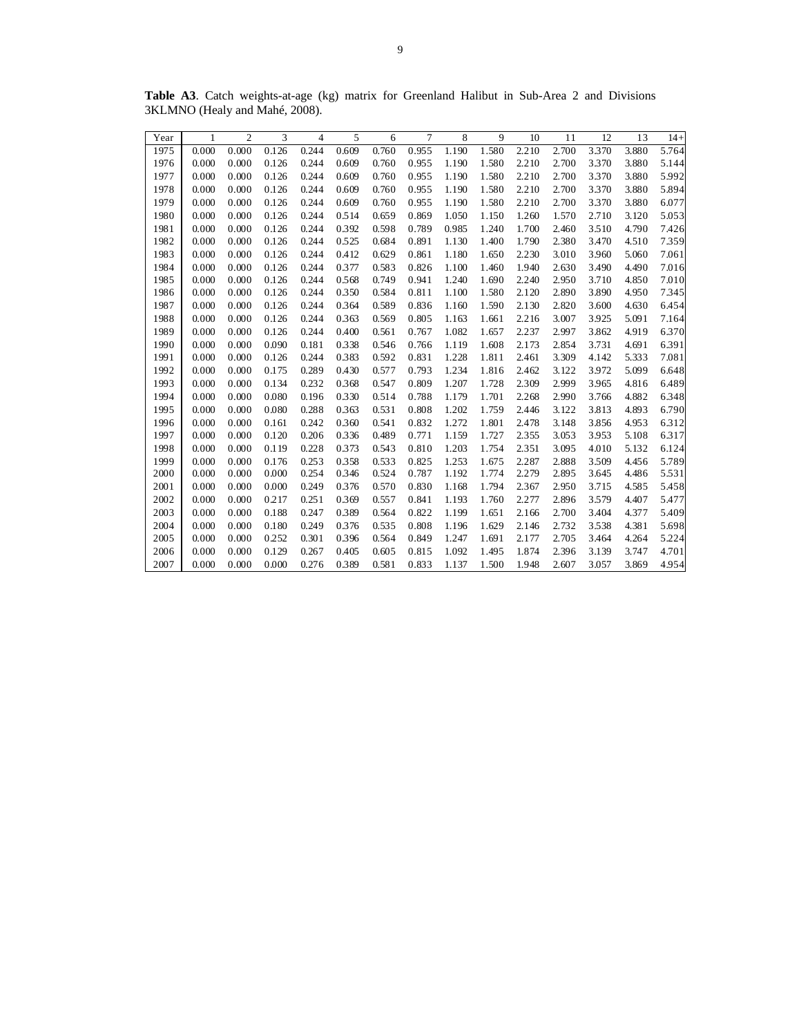| Year | 1     | $\overline{c}$ | 3     | $\overline{4}$ | 5     | 6     | 7     | 8     | 9     | 10    | 11    | 12    | 13    | $14+$ |
|------|-------|----------------|-------|----------------|-------|-------|-------|-------|-------|-------|-------|-------|-------|-------|
| 1975 | 0.000 | 0.000          | 0.126 | 0.244          | 0.609 | 0.760 | 0.955 | 1.190 | 1.580 | 2.210 | 2.700 | 3.370 | 3.880 | 5.764 |
| 1976 | 0.000 | 0.000          | 0.126 | 0.244          | 0.609 | 0.760 | 0.955 | 1.190 | 1.580 | 2.210 | 2.700 | 3.370 | 3.880 | 5.144 |
| 1977 | 0.000 | 0.000          | 0.126 | 0.244          | 0.609 | 0.760 | 0.955 | 1.190 | 1.580 | 2.210 | 2.700 | 3.370 | 3.880 | 5.992 |
| 1978 | 0.000 | 0.000          | 0.126 | 0.244          | 0.609 | 0.760 | 0.955 | 1.190 | 1.580 | 2.210 | 2.700 | 3.370 | 3.880 | 5.894 |
| 1979 | 0.000 | 0.000          | 0.126 | 0.244          | 0.609 | 0.760 | 0.955 | 1.190 | 1.580 | 2.210 | 2.700 | 3.370 | 3.880 | 6.077 |
| 1980 | 0.000 | 0.000          | 0.126 | 0.244          | 0.514 | 0.659 | 0.869 | 1.050 | 1.150 | 1.260 | 1.570 | 2.710 | 3.120 | 5.053 |
| 1981 | 0.000 | 0.000          | 0.126 | 0.244          | 0.392 | 0.598 | 0.789 | 0.985 | 1.240 | 1.700 | 2.460 | 3.510 | 4.790 | 7.426 |
| 1982 | 0.000 | 0.000          | 0.126 | 0.244          | 0.525 | 0.684 | 0.891 | 1.130 | 1.400 | 1.790 | 2.380 | 3.470 | 4.510 | 7.359 |
| 1983 | 0.000 | 0.000          | 0.126 | 0.244          | 0.412 | 0.629 | 0.861 | 1.180 | 1.650 | 2.230 | 3.010 | 3.960 | 5.060 | 7.061 |
| 1984 | 0.000 | 0.000          | 0.126 | 0.244          | 0.377 | 0.583 | 0.826 | 1.100 | 1.460 | 1.940 | 2.630 | 3.490 | 4.490 | 7.016 |
| 1985 | 0.000 | 0.000          | 0.126 | 0.244          | 0.568 | 0.749 | 0.941 | 1.240 | 1.690 | 2.240 | 2.950 | 3.710 | 4.850 | 7.010 |
| 1986 | 0.000 | 0.000          | 0.126 | 0.244          | 0.350 | 0.584 | 0.811 | 1.100 | 1.580 | 2.120 | 2.890 | 3.890 | 4.950 | 7.345 |
| 1987 | 0.000 | 0.000          | 0.126 | 0.244          | 0.364 | 0.589 | 0.836 | 1.160 | 1.590 | 2.130 | 2.820 | 3.600 | 4.630 | 6.454 |
| 1988 | 0.000 | 0.000          | 0.126 | 0.244          | 0.363 | 0.569 | 0.805 | 1.163 | 1.661 | 2.216 | 3.007 | 3.925 | 5.091 | 7.164 |
| 1989 | 0.000 | 0.000          | 0.126 | 0.244          | 0.400 | 0.561 | 0.767 | 1.082 | 1.657 | 2.237 | 2.997 | 3.862 | 4.919 | 6.370 |
| 1990 | 0.000 | 0.000          | 0.090 | 0.181          | 0.338 | 0.546 | 0.766 | 1.119 | 1.608 | 2.173 | 2.854 | 3.731 | 4.691 | 6.391 |
| 1991 | 0.000 | 0.000          | 0.126 | 0.244          | 0.383 | 0.592 | 0.831 | 1.228 | 1.811 | 2.461 | 3.309 | 4.142 | 5.333 | 7.081 |
| 1992 | 0.000 | 0.000          | 0.175 | 0.289          | 0.430 | 0.577 | 0.793 | 1.234 | 1.816 | 2.462 | 3.122 | 3.972 | 5.099 | 6.648 |
| 1993 | 0.000 | 0.000          | 0.134 | 0.232          | 0.368 | 0.547 | 0.809 | 1.207 | 1.728 | 2.309 | 2.999 | 3.965 | 4.816 | 6.489 |
| 1994 | 0.000 | 0.000          | 0.080 | 0.196          | 0.330 | 0.514 | 0.788 | 1.179 | 1.701 | 2.268 | 2.990 | 3.766 | 4.882 | 6.348 |
| 1995 | 0.000 | 0.000          | 0.080 | 0.288          | 0.363 | 0.531 | 0.808 | 1.202 | 1.759 | 2.446 | 3.122 | 3.813 | 4.893 | 6.790 |
| 1996 | 0.000 | 0.000          | 0.161 | 0.242          | 0.360 | 0.541 | 0.832 | 1.272 | 1.801 | 2.478 | 3.148 | 3.856 | 4.953 | 6.312 |
| 1997 | 0.000 | 0.000          | 0.120 | 0.206          | 0.336 | 0.489 | 0.771 | 1.159 | 1.727 | 2.355 | 3.053 | 3.953 | 5.108 | 6.317 |
| 1998 | 0.000 | 0.000          | 0.119 | 0.228          | 0.373 | 0.543 | 0.810 | 1.203 | 1.754 | 2.351 | 3.095 | 4.010 | 5.132 | 6.124 |
| 1999 | 0.000 | 0.000          | 0.176 | 0.253          | 0.358 | 0.533 | 0.825 | 1.253 | 1.675 | 2.287 | 2.888 | 3.509 | 4.456 | 5.789 |
| 2000 | 0.000 | 0.000          | 0.000 | 0.254          | 0.346 | 0.524 | 0.787 | 1.192 | 1.774 | 2.279 | 2.895 | 3.645 | 4.486 | 5.531 |
| 2001 | 0.000 | 0.000          | 0.000 | 0.249          | 0.376 | 0.570 | 0.830 | 1.168 | 1.794 | 2.367 | 2.950 | 3.715 | 4.585 | 5.458 |
| 2002 | 0.000 | 0.000          | 0.217 | 0.251          | 0.369 | 0.557 | 0.841 | 1.193 | 1.760 | 2.277 | 2.896 | 3.579 | 4.407 | 5.477 |
| 2003 | 0.000 | 0.000          | 0.188 | 0.247          | 0.389 | 0.564 | 0.822 | 1.199 | 1.651 | 2.166 | 2.700 | 3.404 | 4.377 | 5.409 |
| 2004 | 0.000 | 0.000          | 0.180 | 0.249          | 0.376 | 0.535 | 0.808 | 1.196 | 1.629 | 2.146 | 2.732 | 3.538 | 4.381 | 5.698 |
| 2005 | 0.000 | 0.000          | 0.252 | 0.301          | 0.396 | 0.564 | 0.849 | 1.247 | 1.691 | 2.177 | 2.705 | 3.464 | 4.264 | 5.224 |
| 2006 | 0.000 | 0.000          | 0.129 | 0.267          | 0.405 | 0.605 | 0.815 | 1.092 | 1.495 | 1.874 | 2.396 | 3.139 | 3.747 | 4.701 |
| 2007 | 0.000 | 0.000          | 0.000 | 0.276          | 0.389 | 0.581 | 0.833 | 1.137 | 1.500 | 1.948 | 2.607 | 3.057 | 3.869 | 4.954 |

**Table A3**. Catch weights-at-age (kg) matrix for Greenland Halibut in Sub-Area 2 and Divisions 3KLMNO (Healy and Mahé, 2008).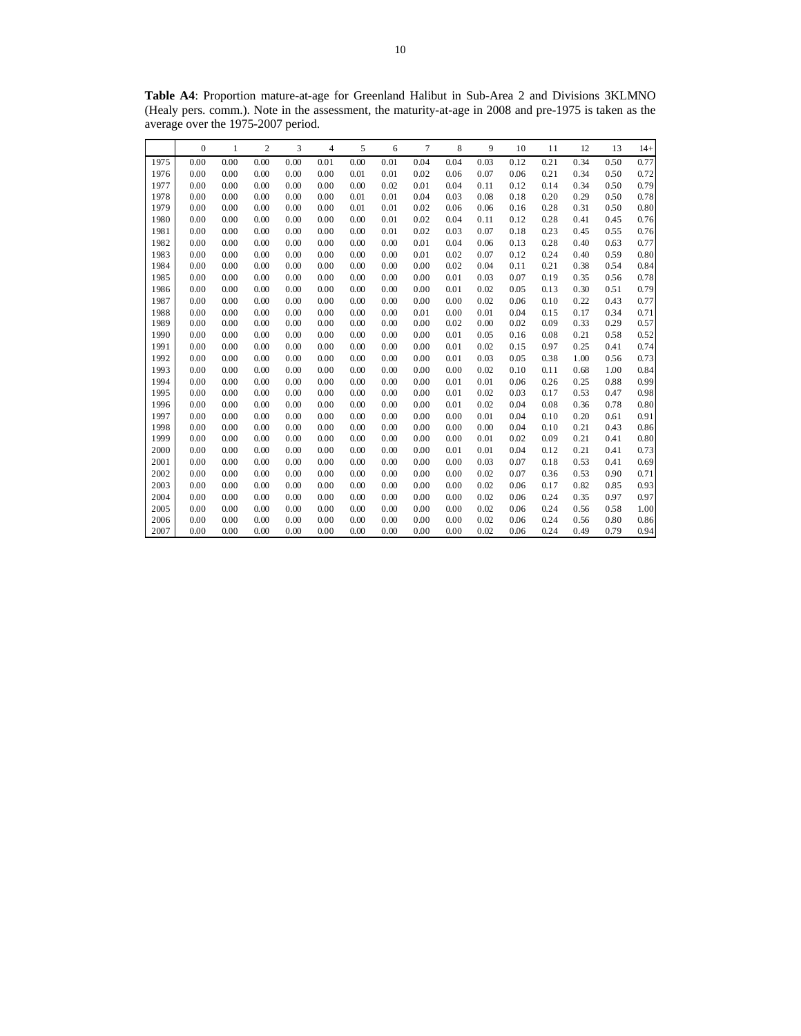**Table A4**: Proportion mature-at-age for Greenland Halibut in Sub-Area 2 and Divisions 3KLMNO (Healy pers. comm.). Note in the assessment, the maturity-at-age in 2008 and pre-1975 is taken as the average over the 1975-2007 period.

|      | $\boldsymbol{0}$ | $\mathbf{1}$ | $\mathfrak{2}$ | 3    | 4    | 5    | 6    | 7    | 8    | 9    | 10   | 11   | 12   | 13   | $14+$ |
|------|------------------|--------------|----------------|------|------|------|------|------|------|------|------|------|------|------|-------|
| 1975 | 0.00             | 0.00         | 0.00           | 0.00 | 0.01 | 0.00 | 0.01 | 0.04 | 0.04 | 0.03 | 0.12 | 0.21 | 0.34 | 0.50 | 0.77  |
| 1976 | 0.00             | 0.00         | 0.00           | 0.00 | 0.00 | 0.01 | 0.01 | 0.02 | 0.06 | 0.07 | 0.06 | 0.21 | 0.34 | 0.50 | 0.72  |
| 1977 | 0.00             | 0.00         | 0.00           | 0.00 | 0.00 | 0.00 | 0.02 | 0.01 | 0.04 | 0.11 | 0.12 | 0.14 | 0.34 | 0.50 | 0.79  |
| 1978 | 0.00             | 0.00         | 0.00           | 0.00 | 0.00 | 0.01 | 0.01 | 0.04 | 0.03 | 0.08 | 0.18 | 0.20 | 0.29 | 0.50 | 0.78  |
| 1979 | 0.00             | 0.00         | 0.00           | 0.00 | 0.00 | 0.01 | 0.01 | 0.02 | 0.06 | 0.06 | 0.16 | 0.28 | 0.31 | 0.50 | 0.80  |
| 1980 | 0.00             | 0.00         | 0.00           | 0.00 | 0.00 | 0.00 | 0.01 | 0.02 | 0.04 | 0.11 | 0.12 | 0.28 | 0.41 | 0.45 | 0.76  |
| 1981 | 0.00             | 0.00         | 0.00           | 0.00 | 0.00 | 0.00 | 0.01 | 0.02 | 0.03 | 0.07 | 0.18 | 0.23 | 0.45 | 0.55 | 0.76  |
| 1982 | 0.00             | 0.00         | 0.00           | 0.00 | 0.00 | 0.00 | 0.00 | 0.01 | 0.04 | 0.06 | 0.13 | 0.28 | 0.40 | 0.63 | 0.77  |
| 1983 | 0.00             | 0.00         | 0.00           | 0.00 | 0.00 | 0.00 | 0.00 | 0.01 | 0.02 | 0.07 | 0.12 | 0.24 | 0.40 | 0.59 | 0.80  |
| 1984 | 0.00             | 0.00         | 0.00           | 0.00 | 0.00 | 0.00 | 0.00 | 0.00 | 0.02 | 0.04 | 0.11 | 0.21 | 0.38 | 0.54 | 0.84  |
| 1985 | 0.00             | 0.00         | 0.00           | 0.00 | 0.00 | 0.00 | 0.00 | 0.00 | 0.01 | 0.03 | 0.07 | 0.19 | 0.35 | 0.56 | 0.78  |
| 1986 | 0.00             | 0.00         | 0.00           | 0.00 | 0.00 | 0.00 | 0.00 | 0.00 | 0.01 | 0.02 | 0.05 | 0.13 | 0.30 | 0.51 | 0.79  |
| 1987 | 0.00             | 0.00         | 0.00           | 0.00 | 0.00 | 0.00 | 0.00 | 0.00 | 0.00 | 0.02 | 0.06 | 0.10 | 0.22 | 0.43 | 0.77  |
| 1988 | 0.00             | 0.00         | 0.00           | 0.00 | 0.00 | 0.00 | 0.00 | 0.01 | 0.00 | 0.01 | 0.04 | 0.15 | 0.17 | 0.34 | 0.71  |
| 1989 | 0.00             | 0.00         | 0.00           | 0.00 | 0.00 | 0.00 | 0.00 | 0.00 | 0.02 | 0.00 | 0.02 | 0.09 | 0.33 | 0.29 | 0.57  |
| 1990 | 0.00             | 0.00         | 0.00           | 0.00 | 0.00 | 0.00 | 0.00 | 0.00 | 0.01 | 0.05 | 0.16 | 0.08 | 0.21 | 0.58 | 0.52  |
| 1991 | 0.00             | 0.00         | 0.00           | 0.00 | 0.00 | 0.00 | 0.00 | 0.00 | 0.01 | 0.02 | 0.15 | 0.97 | 0.25 | 0.41 | 0.74  |
| 1992 | 0.00             | 0.00         | 0.00           | 0.00 | 0.00 | 0.00 | 0.00 | 0.00 | 0.01 | 0.03 | 0.05 | 0.38 | 1.00 | 0.56 | 0.73  |
| 1993 | 0.00             | 0.00         | 0.00           | 0.00 | 0.00 | 0.00 | 0.00 | 0.00 | 0.00 | 0.02 | 0.10 | 0.11 | 0.68 | 1.00 | 0.84  |
| 1994 | 0.00             | 0.00         | 0.00           | 0.00 | 0.00 | 0.00 | 0.00 | 0.00 | 0.01 | 0.01 | 0.06 | 0.26 | 0.25 | 0.88 | 0.99  |
| 1995 | 0.00             | 0.00         | 0.00           | 0.00 | 0.00 | 0.00 | 0.00 | 0.00 | 0.01 | 0.02 | 0.03 | 0.17 | 0.53 | 0.47 | 0.98  |
| 1996 | 0.00             | 0.00         | 0.00           | 0.00 | 0.00 | 0.00 | 0.00 | 0.00 | 0.01 | 0.02 | 0.04 | 0.08 | 0.36 | 0.78 | 0.80  |
| 1997 | 0.00             | 0.00         | 0.00           | 0.00 | 0.00 | 0.00 | 0.00 | 0.00 | 0.00 | 0.01 | 0.04 | 0.10 | 0.20 | 0.61 | 0.91  |
| 1998 | 0.00             | 0.00         | 0.00           | 0.00 | 0.00 | 0.00 | 0.00 | 0.00 | 0.00 | 0.00 | 0.04 | 0.10 | 0.21 | 0.43 | 0.86  |
| 1999 | 0.00             | 0.00         | 0.00           | 0.00 | 0.00 | 0.00 | 0.00 | 0.00 | 0.00 | 0.01 | 0.02 | 0.09 | 0.21 | 0.41 | 0.80  |
| 2000 | 0.00             | 0.00         | 0.00           | 0.00 | 0.00 | 0.00 | 0.00 | 0.00 | 0.01 | 0.01 | 0.04 | 0.12 | 0.21 | 0.41 | 0.73  |
| 2001 | 0.00             | 0.00         | 0.00           | 0.00 | 0.00 | 0.00 | 0.00 | 0.00 | 0.00 | 0.03 | 0.07 | 0.18 | 0.53 | 0.41 | 0.69  |
| 2002 | 0.00             | 0.00         | 0.00           | 0.00 | 0.00 | 0.00 | 0.00 | 0.00 | 0.00 | 0.02 | 0.07 | 0.36 | 0.53 | 0.90 | 0.71  |
| 2003 | 0.00             | 0.00         | 0.00           | 0.00 | 0.00 | 0.00 | 0.00 | 0.00 | 0.00 | 0.02 | 0.06 | 0.17 | 0.82 | 0.85 | 0.93  |
| 2004 | 0.00             | 0.00         | 0.00           | 0.00 | 0.00 | 0.00 | 0.00 | 0.00 | 0.00 | 0.02 | 0.06 | 0.24 | 0.35 | 0.97 | 0.97  |
| 2005 | 0.00             | 0.00         | 0.00           | 0.00 | 0.00 | 0.00 | 0.00 | 0.00 | 0.00 | 0.02 | 0.06 | 0.24 | 0.56 | 0.58 | 1.00  |
| 2006 | 0.00             | 0.00         | 0.00           | 0.00 | 0.00 | 0.00 | 0.00 | 0.00 | 0.00 | 0.02 | 0.06 | 0.24 | 0.56 | 0.80 | 0.86  |
| 2007 | 0.00             | 0.00         | 0.00           | 0.00 | 0.00 | 0.00 | 0.00 | 0.00 | 0.00 | 0.02 | 0.06 | 0.24 | 0.49 | 0.79 | 0.94  |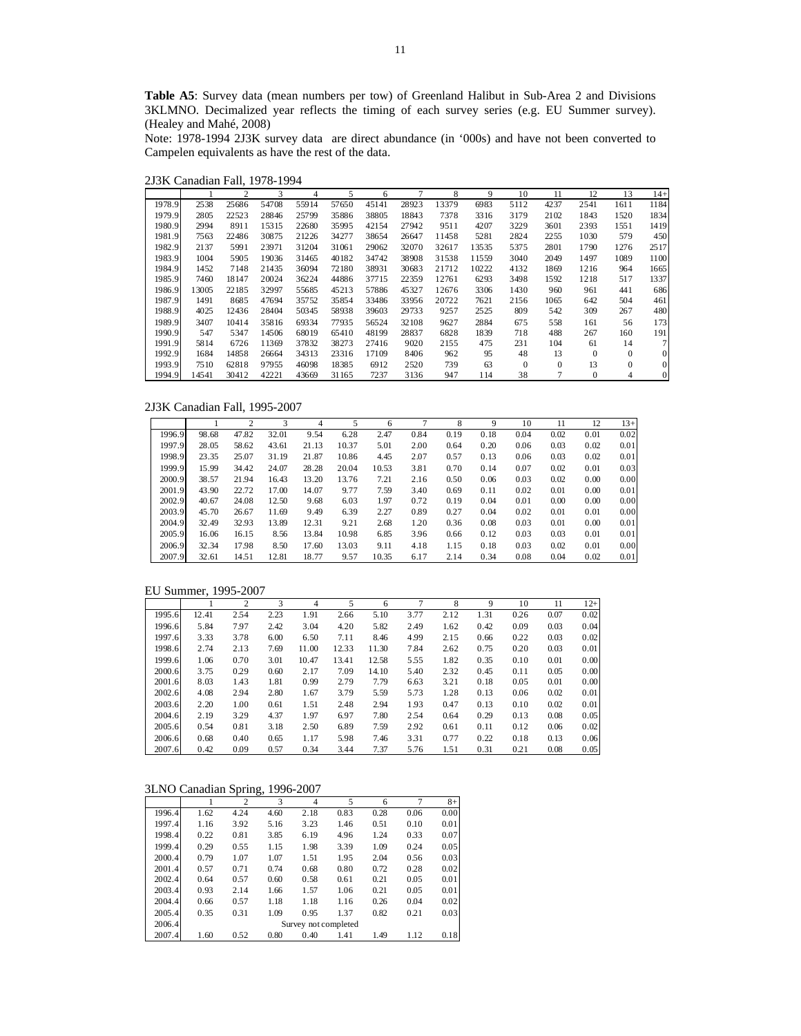**Table A5**: Survey data (mean numbers per tow) of Greenland Halibut in Sub-Area 2 and Divisions 3KLMNO. Decimalized year reflects the timing of each survey series (e.g. EU Summer survey). (Healey and Mahé, 2008)

Note: 1978-1994 2J3K survey data are direct abundance (in '000s) and have not been converted to Campelen equivalents as have the rest of the data.

2J3K Canadian Fall, 1978-1994

|        |       | 2     | 3     | 4     | 5     | 6     |       | 8     | 9     | 10       | 11       | 12           | 13       | $14+$          |
|--------|-------|-------|-------|-------|-------|-------|-------|-------|-------|----------|----------|--------------|----------|----------------|
| 1978.9 | 2538  | 25686 | 54708 | 55914 | 57650 | 45141 | 28923 | 13379 | 6983  | 5112     | 4237     | 2541         | 1611     | 1184           |
| 1979.9 | 2805  | 22523 | 28846 | 25799 | 35886 | 38805 | 18843 | 7378  | 3316  | 3179     | 2102     | 1843         | 1520     | 1834           |
| 1980.9 | 2994  | 8911  | 15315 | 22680 | 35995 | 42154 | 27942 | 9511  | 4207  | 3229     | 3601     | 2393         | 1551     | 1419           |
| 1981.9 | 7563  | 22486 | 30875 | 21226 | 34277 | 38654 | 26647 | 11458 | 5281  | 2824     | 2255     | 1030         | 579      | 450            |
| 1982.9 | 2137  | 5991  | 23971 | 31204 | 31061 | 29062 | 32070 | 32617 | 13535 | 5375     | 2801     | 1790         | 1276     | 2517           |
| 1983.9 | 1004  | 5905  | 19036 | 31465 | 40182 | 34742 | 38908 | 31538 | 11559 | 3040     | 2049     | 1497         | 1089     | 1100           |
| 1984.9 | 1452  | 7148  | 21435 | 36094 | 72180 | 38931 | 30683 | 21712 | 10222 | 4132     | 1869     | 1216         | 964      | 1665           |
| 1985.9 | 7460  | 18147 | 20024 | 36224 | 44886 | 37715 | 22359 | 12761 | 6293  | 3498     | 1592     | 1218         | 517      | 1337           |
| 1986.9 | 13005 | 22185 | 32997 | 55685 | 45213 | 57886 | 45327 | 12676 | 3306  | 1430     | 960      | 961          | 441      | 686            |
| 1987.9 | 1491  | 8685  | 47694 | 35752 | 35854 | 33486 | 33956 | 20722 | 7621  | 2156     | 1065     | 642          | 504      | 461            |
| 1988.9 | 4025  | 12436 | 28404 | 50345 | 58938 | 39603 | 29733 | 9257  | 2525  | 809      | 542      | 309          | 267      | 480            |
| 1989.9 | 3407  | 10414 | 35816 | 69334 | 77935 | 56524 | 32108 | 9627  | 2884  | 675      | 558      | 161          | 56       | 173            |
| 1990.9 | 547   | 5347  | 14506 | 68019 | 65410 | 48199 | 28837 | 6828  | 1839  | 718      | 488      | 267          | 160      | 191            |
| 1991.9 | 5814  | 6726  | 11369 | 37832 | 38273 | 27416 | 9020  | 2155  | 475   | 231      | 104      | 61           | 14       | 7 <sup>1</sup> |
| 1992.9 | 1684  | 14858 | 26664 | 34313 | 23316 | 17109 | 8406  | 962   | 95    | 48       | 13       | $\mathbf{0}$ | $\Omega$ | $\mathbf{0}$   |
| 1993.9 | 7510  | 62818 | 97955 | 46098 | 18385 | 6912  | 2520  | 739   | 63    | $\Omega$ | $\Omega$ | 13           | $\theta$ | $\mathbf{0}$   |
| 1994.9 | 14541 | 30412 | 42221 | 43669 | 31165 | 7237  | 3136  | 947   | 114   | 38       | 7        | $\mathbf{0}$ | 4        | $\mathbf{0}$   |

2J3K Canadian Fall, 1995-2007

|        |       | 2     | 3     | 4     |       | 6     |      | 8    | 9    | 10   | 11   | 12   | $13+$ |
|--------|-------|-------|-------|-------|-------|-------|------|------|------|------|------|------|-------|
| 1996.9 | 98.68 | 47.82 | 32.01 | 9.54  | 6.28  | 2.47  | 0.84 | 0.19 | 0.18 | 0.04 | 0.02 | 0.01 | 0.02  |
| 1997.9 | 28.05 | 58.62 | 43.61 | 21.13 | 10.37 | 5.01  | 2.00 | 0.64 | 0.20 | 0.06 | 0.03 | 0.02 | 0.01  |
| 1998.9 | 23.35 | 25.07 | 31.19 | 21.87 | 10.86 | 4.45  | 2.07 | 0.57 | 0.13 | 0.06 | 0.03 | 0.02 | 0.01  |
| 1999.9 | 15.99 | 34.42 | 24.07 | 28.28 | 20.04 | 10.53 | 3.81 | 0.70 | 0.14 | 0.07 | 0.02 | 0.01 | 0.03  |
| 2000.9 | 38.57 | 21.94 | 16.43 | 13.20 | 13.76 | 7.21  | 2.16 | 0.50 | 0.06 | 0.03 | 0.02 | 0.00 | 0.00  |
| 2001.9 | 43.90 | 22.72 | 17.00 | 14.07 | 9.77  | 7.59  | 3.40 | 0.69 | 0.11 | 0.02 | 0.01 | 0.00 | 0.01  |
| 2002.9 | 40.67 | 24.08 | 12.50 | 9.68  | 6.03  | 1.97  | 0.72 | 0.19 | 0.04 | 0.01 | 0.00 | 0.00 | 0.00  |
| 2003.9 | 45.70 | 26.67 | 11.69 | 9.49  | 6.39  | 2.27  | 0.89 | 0.27 | 0.04 | 0.02 | 0.01 | 0.01 | 0.00  |
| 2004.9 | 32.49 | 32.93 | 13.89 | 12.31 | 9.21  | 2.68  | 1.20 | 0.36 | 0.08 | 0.03 | 0.01 | 0.00 | 0.01  |
| 2005.9 | 16.06 | 16.15 | 8.56  | 13.84 | 10.98 | 6.85  | 3.96 | 0.66 | 0.12 | 0.03 | 0.03 | 0.01 | 0.01  |
| 2006.9 | 32.34 | 17.98 | 8.50  | 17.60 | 13.03 | 9.11  | 4.18 | 1.15 | 0.18 | 0.03 | 0.02 | 0.01 | 0.00  |
| 2007.9 | 32.61 | 14.51 | 12.81 | 18.77 | 9.57  | 10.35 | 6.17 | 2.14 | 0.34 | 0.08 | 0.04 | 0.02 | 0.01  |

|        |       | $\overline{c}$ | 3    | 4     | 5     | 6     |      | 8    | 9    | 10   | 11   | $12+$ |
|--------|-------|----------------|------|-------|-------|-------|------|------|------|------|------|-------|
| 1995.6 | 12.41 | 2.54           | 2.23 | 1.91  | 2.66  | 5.10  | 3.77 | 2.12 | 1.31 | 0.26 | 0.07 | 0.02  |
| 1996.6 | 5.84  | 7.97           | 2.42 | 3.04  | 4.20  | 5.82  | 2.49 | 1.62 | 0.42 | 0.09 | 0.03 | 0.04  |
| 1997.6 | 3.33  | 3.78           | 6.00 | 6.50  | 7.11  | 8.46  | 4.99 | 2.15 | 0.66 | 0.22 | 0.03 | 0.02  |
| 1998.6 | 2.74  | 2.13           | 7.69 | 11.00 | 12.33 | 11.30 | 7.84 | 2.62 | 0.75 | 0.20 | 0.03 | 0.01  |
| 1999.6 | 1.06  | 0.70           | 3.01 | 10.47 | 13.41 | 12.58 | 5.55 | 1.82 | 0.35 | 0.10 | 0.01 | 0.00  |
| 2000.6 | 3.75  | 0.29           | 0.60 | 2.17  | 7.09  | 14.10 | 5.40 | 2.32 | 0.45 | 0.11 | 0.05 | 0.00  |
| 2001.6 | 8.03  | 1.43           | 1.81 | 0.99  | 2.79  | 7.79  | 6.63 | 3.21 | 0.18 | 0.05 | 0.01 | 0.00  |
| 2002.6 | 4.08  | 2.94           | 2.80 | 1.67  | 3.79  | 5.59  | 5.73 | 1.28 | 0.13 | 0.06 | 0.02 | 0.01  |
| 2003.6 | 2.20  | 1.00           | 0.61 | 1.51  | 2.48  | 2.94  | 1.93 | 0.47 | 0.13 | 0.10 | 0.02 | 0.01  |
| 2004.6 | 2.19  | 3.29           | 4.37 | 1.97  | 6.97  | 7.80  | 2.54 | 0.64 | 0.29 | 0.13 | 0.08 | 0.05  |
| 2005.6 | 0.54  | 0.81           | 3.18 | 2.50  | 6.89  | 7.59  | 2.92 | 0.61 | 0.11 | 0.12 | 0.06 | 0.02  |
| 2006.6 | 0.68  | 0.40           | 0.65 | 1.17  | 5.98  | 7.46  | 3.31 | 0.77 | 0.22 | 0.18 | 0.13 | 0.06  |
| 2007.6 | 0.42  | 0.09           | 0.57 | 0.34  | 3.44  | 7.37  | 5.76 | 1.51 | 0.31 | 0.21 | 0.08 | 0.05  |

## 3LNO Canadian Spring, 1996-2007

|        |      | $\overline{c}$ | 3    | 4                    | 5    | 6    | 7    | $8+$ |
|--------|------|----------------|------|----------------------|------|------|------|------|
| 1996.4 | 1.62 | 4.24           | 4.60 | 2.18                 | 0.83 | 0.28 | 0.06 | 0.00 |
| 1997.4 | 1.16 | 3.92           | 5.16 | 3.23                 | 1.46 | 0.51 | 0.10 | 0.01 |
| 1998.4 | 0.22 | 0.81           | 3.85 | 6.19                 | 4.96 | 1.24 | 0.33 | 0.07 |
| 1999.4 | 0.29 | 0.55           | 1.15 | 1.98                 | 3.39 | 1.09 | 0.24 | 0.05 |
| 2000.4 | 0.79 | 1.07           | 1.07 | 1.51                 | 1.95 | 2.04 | 0.56 | 0.03 |
| 2001.4 | 0.57 | 0.71           | 0.74 | 0.68                 | 0.80 | 0.72 | 0.28 | 0.02 |
| 2002.4 | 0.64 | 0.57           | 0.60 | 0.58                 | 0.61 | 0.21 | 0.05 | 0.01 |
| 2003.4 | 0.93 | 2.14           | 1.66 | 1.57                 | 1.06 | 0.21 | 0.05 | 0.01 |
| 2004.4 | 0.66 | 0.57           | 1.18 | 1.18                 | 1.16 | 0.26 | 0.04 | 0.02 |
| 2005.4 | 0.35 | 0.31           | 1.09 | 0.95                 | 1.37 | 0.82 | 0.21 | 0.03 |
| 2006.4 |      |                |      | Survey not completed |      |      |      |      |
| 2007.4 | 1.60 | 0.52           | 0.80 | 0.40                 | 1.41 | 1.49 | 1.12 | 0.18 |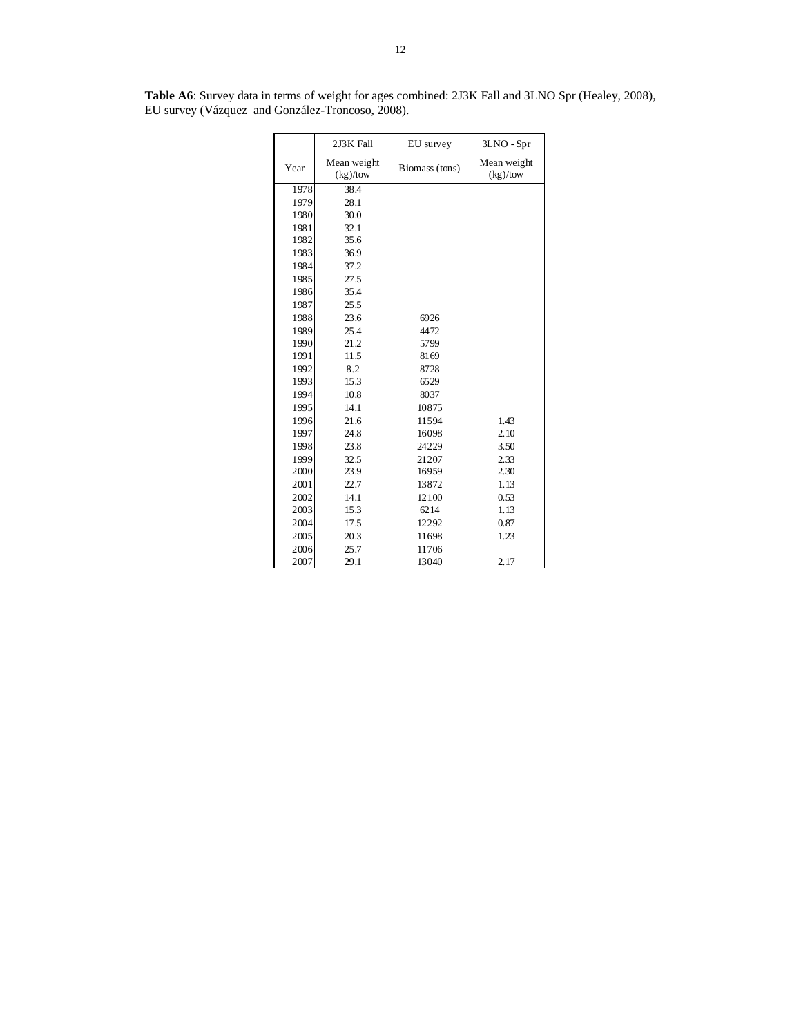|      | 2J3K Fall               | EU survey      | 3LNO - Spr              |
|------|-------------------------|----------------|-------------------------|
| Year | Mean weight<br>(kg)/tow | Biomass (tons) | Mean weight<br>(kg)/tow |
| 1978 | 38.4                    |                |                         |
| 1979 | 28.1                    |                |                         |
| 1980 | 30.0                    |                |                         |
| 1981 | 32.1                    |                |                         |
| 1982 | 35.6                    |                |                         |
| 1983 | 36.9                    |                |                         |
| 1984 | 37.2                    |                |                         |
| 1985 | 27.5                    |                |                         |
| 1986 | 35.4                    |                |                         |
| 1987 | 25.5                    |                |                         |
| 1988 | 23.6                    | 6926           |                         |
| 1989 | 25.4                    | 4472           |                         |
| 1990 | 21.2                    | 5799           |                         |
| 1991 | 11.5                    | 8169           |                         |
| 1992 | 8.2                     | 8728           |                         |
| 1993 | 15.3                    | 6529           |                         |
| 1994 | 10.8                    | 8037           |                         |
| 1995 | 14.1                    | 10875          |                         |
| 1996 | 21.6                    | 11594          | 1.43                    |
| 1997 | 24.8                    | 16098          | 2.10                    |
| 1998 | 23.8                    | 24229          | 3.50                    |
| 1999 | 32.5                    | 21207          | 2.33                    |
| 2000 | 23.9                    | 16959          | 2.30                    |
| 2001 | 22.7                    | 13872          | 1.13                    |
| 2002 | 14.1                    | 12100          | 0.53                    |
| 2003 | 15.3                    | 6214           | 1.13                    |
| 2004 | 17.5                    | 12292          | 0.87                    |
| 2005 | 20.3                    | 11698          | 1.23                    |
| 2006 | 25.7                    | 11706          |                         |
| 2007 | 29.1                    | 13040          | 2.17                    |

**Table A6**: Survey data in terms of weight for ages combined: 2J3K Fall and 3LNO Spr (Healey, 2008), EU survey (Vázquez and González-Troncoso, 2008).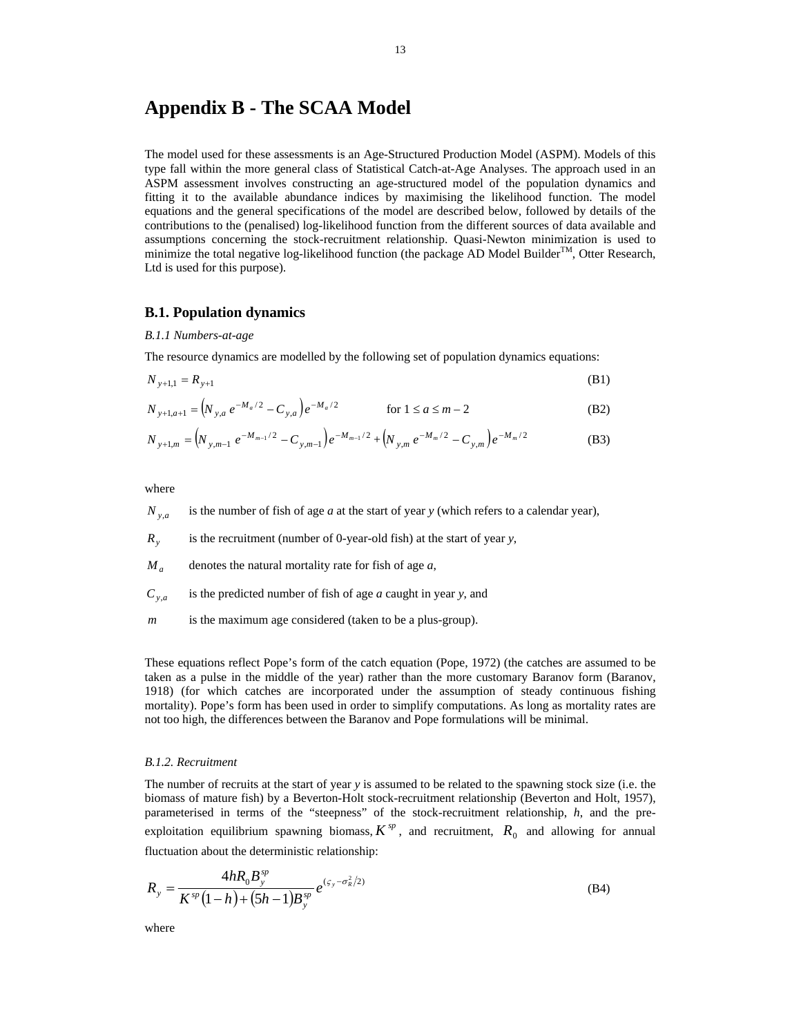# **Appendix B - The SCAA Model**

The model used for these assessments is an Age-Structured Production Model (ASPM). Models of this type fall within the more general class of Statistical Catch-at-Age Analyses. The approach used in an ASPM assessment involves constructing an age-structured model of the population dynamics and fitting it to the available abundance indices by maximising the likelihood function. The model equations and the general specifications of the model are described below, followed by details of the contributions to the (penalised) log-likelihood function from the different sources of data available and assumptions concerning the stock-recruitment relationship. Quasi-Newton minimization is used to minimize the total negative log-likelihood function (the package AD Model Builder<sup>TM</sup>, Otter Research, Ltd is used for this purpose).

## **B.1. Population dynamics**

#### *B.1.1 Numbers-at-age*

The resource dynamics are modelled by the following set of population dynamics equations:

$$
N_{y+1,1} = R_{y+1}
$$
 (B1)

$$
N_{y+1,a+1} = (N_{y,a} e^{-M_a/2} - C_{y,a}) e^{-M_a/2}
$$
 for  $1 \le a \le m-2$  (B2)

$$
N_{y+1,m} = \left(N_{y,m-1} e^{-M_{m-1}/2} - C_{y,m-1}\right) e^{-M_{m-1}/2} + \left(N_{y,m} e^{-M_m/2} - C_{y,m}\right) e^{-M_m/2}
$$
(B3)

where

- $N_{y,a}$  is the number of fish of age *a* at the start of year *y* (which refers to a calendar year),
- *Ry* is the recruitment (number of 0-year-old fish) at the start of year *y*,
- $M_a$  denotes the natural mortality rate for fish of age *a*,
- $C_{y,a}$  is the predicted number of fish of age *a* caught in year *y*, and
- *m* is the maximum age considered (taken to be a plus-group).

These equations reflect Pope's form of the catch equation (Pope, 1972) (the catches are assumed to be taken as a pulse in the middle of the year) rather than the more customary Baranov form (Baranov, 1918) (for which catches are incorporated under the assumption of steady continuous fishing mortality). Pope's form has been used in order to simplify computations. As long as mortality rates are not too high, the differences between the Baranov and Pope formulations will be minimal.

#### *B.1.2. Recruitment*

The number of recruits at the start of year *y* is assumed to be related to the spawning stock size (i.e. the biomass of mature fish) by a Beverton-Holt stock-recruitment relationship (Beverton and Holt, 1957), parameterised in terms of the "steepness" of the stock-recruitment relationship, *h*, and the preexploitation equilibrium spawning biomass,  $K^{sp}$ , and recruitment,  $R_0$  and allowing for annual fluctuation about the deterministic relationship:

$$
R_{y} = \frac{4hR_{0}B_{y}^{sp}}{K^{sp}(1-h)+(5h-1)B_{y}^{sp}}e^{(\epsilon_{y}-\sigma_{R}^{2}/2)}
$$
(B4)

where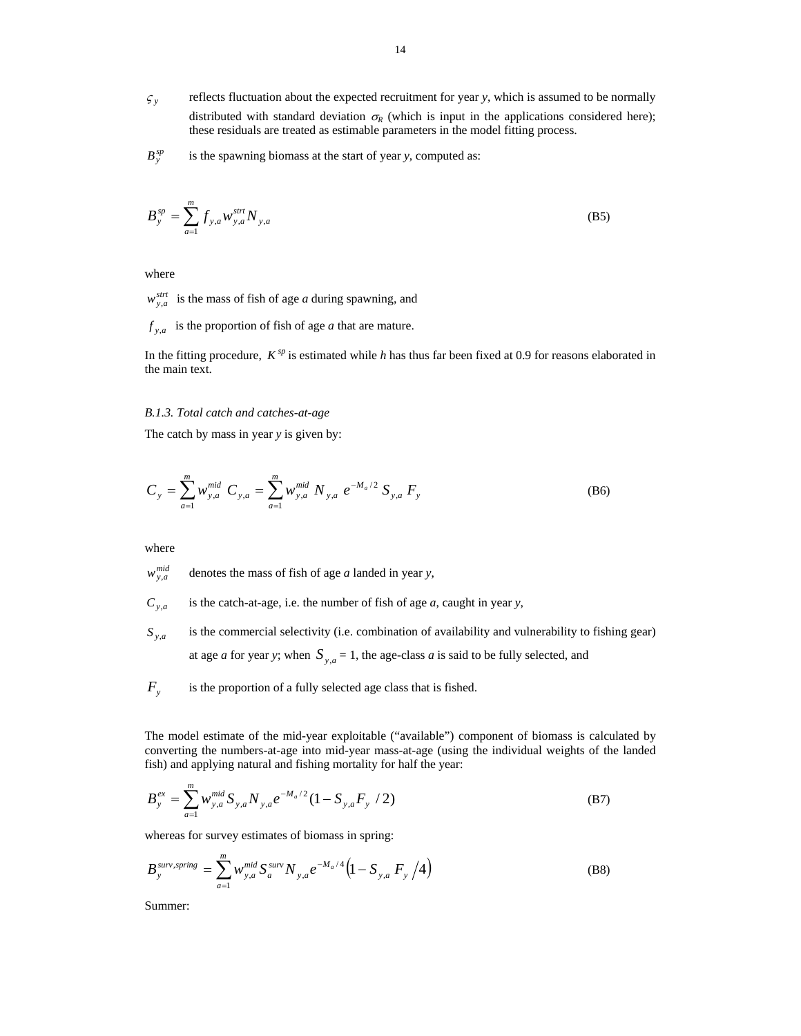- $\zeta$  reflects fluctuation about the expected recruitment for year *y*, which is assumed to be normally distributed with standard deviation  $\sigma_R$  (which is input in the applications considered here); these residuals are treated as estimable parameters in the model fitting process.
- $B_y^{sp}$  is the spawning biomass at the start of year *y*, computed as:

$$
B_{y}^{sp} = \sum_{a=1}^{m} f_{y,a} W_{y,a}^{s \text{trt}} N_{y,a}
$$
 (B5)

where

 $w_{y,a}^{strt}$  is the mass of fish of age *a* during spawning, and

 $f_{y,a}$  is the proportion of fish of age *a* that are mature.

In the fitting procedure,  $K^{sp}$  is estimated while *h* has thus far been fixed at 0.9 for reasons elaborated in the main text.

#### *B.1.3. Total catch and catches-at-age*

The catch by mass in year *y* is given by:

$$
C_{y} = \sum_{a=1}^{m} w_{y,a}^{mid} C_{y,a} = \sum_{a=1}^{m} w_{y,a}^{mid} N_{y,a} e^{-M_{a}/2} S_{y,a} F_{y}
$$
(B6)

where

 $w_{y,a}^{mid}$  denotes the mass of fish of age *a* landed in year *y*,

- $C_{y,a}$  is the catch-at-age, i.e. the number of fish of age *a*, caught in year *y*,
- $S_{y,a}$  is the commercial selectivity (i.e. combination of availability and vulnerability to fishing gear) at age *a* for year *y*; when  $S_{y,a} = 1$ , the age-class *a* is said to be fully selected, and
- $F_y$  is the proportion of a fully selected age class that is fished.

The model estimate of the mid-year exploitable ("available") component of biomass is calculated by converting the numbers-at-age into mid-year mass-at-age (using the individual weights of the landed fish) and applying natural and fishing mortality for half the year:

$$
B_{y}^{ex} = \sum_{a=1}^{m} w_{y,a}^{mid} S_{y,a} N_{y,a} e^{-M_a/2} (1 - S_{y,a} F_y / 2)
$$
 (B7)

whereas for survey estimates of biomass in spring:

$$
B_{y}^{surv,spring} = \sum_{a=1}^{m} w_{y,a}^{mid} S_{a}^{surv} N_{y,a} e^{-M_{a}/4} \left( 1 - S_{y,a} F_{y} / 4 \right)
$$
 (B8)

Summer: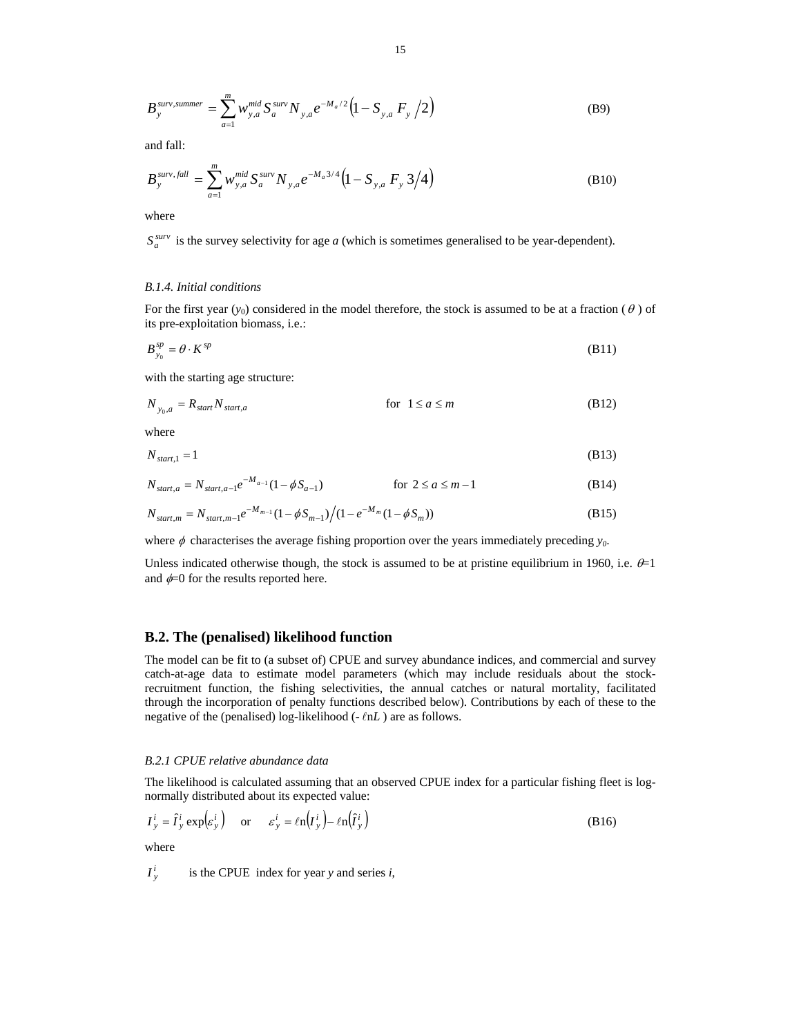$$
B_{y}^{surv,summer} = \sum_{a=1}^{m} w_{y,a}^{mid} S_{a}^{surv} N_{y,a} e^{-M_a/2} \left( 1 - S_{y,a} F_y / 2 \right)
$$
 (B9)

and fall:

$$
B_{y}^{surv, fall} = \sum_{a=1}^{m} w_{y,a}^{mid} S_{a}^{surv} N_{y,a} e^{-M_a 3/4} \left( 1 - S_{y,a} F_y 3/4 \right)
$$
 (B10)

where

 $S_a^{surv}$  is the survey selectivity for age *a* (which is sometimes generalised to be year-dependent).

## *B.1.4. Initial conditions*

For the first year  $(y_0)$  considered in the model therefore, the stock is assumed to be at a fraction ( $\theta$ ) of its pre-exploitation biomass, i.e.:

$$
B_{y_0}^{sp} = \theta \cdot K^{sp} \tag{B11}
$$

with the starting age structure:

$$
N_{y_0,a} = R_{start} N_{start,a} \qquad \qquad \text{for } 1 \le a \le m \tag{B12}
$$

where

$$
N_{start,1} = 1 \tag{B13}
$$

$$
N_{start,a} = N_{start,a-1}e^{-M_{a-1}}(1 - \phi S_{a-1})
$$
 for  $2 \le a \le m-1$  (B14)

$$
N_{start,m} = N_{start,m-1}e^{-M_{m-1}}(1-\phi S_{m-1})/(1-e^{-M_m}(1-\phi S_m))
$$
\n(B15)

where  $\phi$  characterises the average fishing proportion over the years immediately preceding  $y_0$ .

Unless indicated otherwise though, the stock is assumed to be at pristine equilibrium in 1960, i.e.  $\theta$ =1 and  $\phi$ =0 for the results reported here.

#### **B.2. The (penalised) likelihood function**

The model can be fit to (a subset of) CPUE and survey abundance indices, and commercial and survey catch-at-age data to estimate model parameters (which may include residuals about the stockrecruitment function, the fishing selectivities, the annual catches or natural mortality, facilitated through the incorporation of penalty functions described below). Contributions by each of these to the negative of the (penalised) log-likelihood  $(-lnL)$  are as follows.

#### *B.2.1 CPUE relative abundance data*

The likelihood is calculated assuming that an observed CPUE index for a particular fishing fleet is lognormally distributed about its expected value:

$$
I_y^i = \hat{I}_y^i \exp(\varepsilon_y^i) \quad \text{or} \quad \varepsilon_y^i = \ln(I_y^i) - \ln(\hat{I}_y^i)
$$
 (B16)

where *i*

$$
I_y^i
$$
 is the CPUE index for year *y* and series *i*,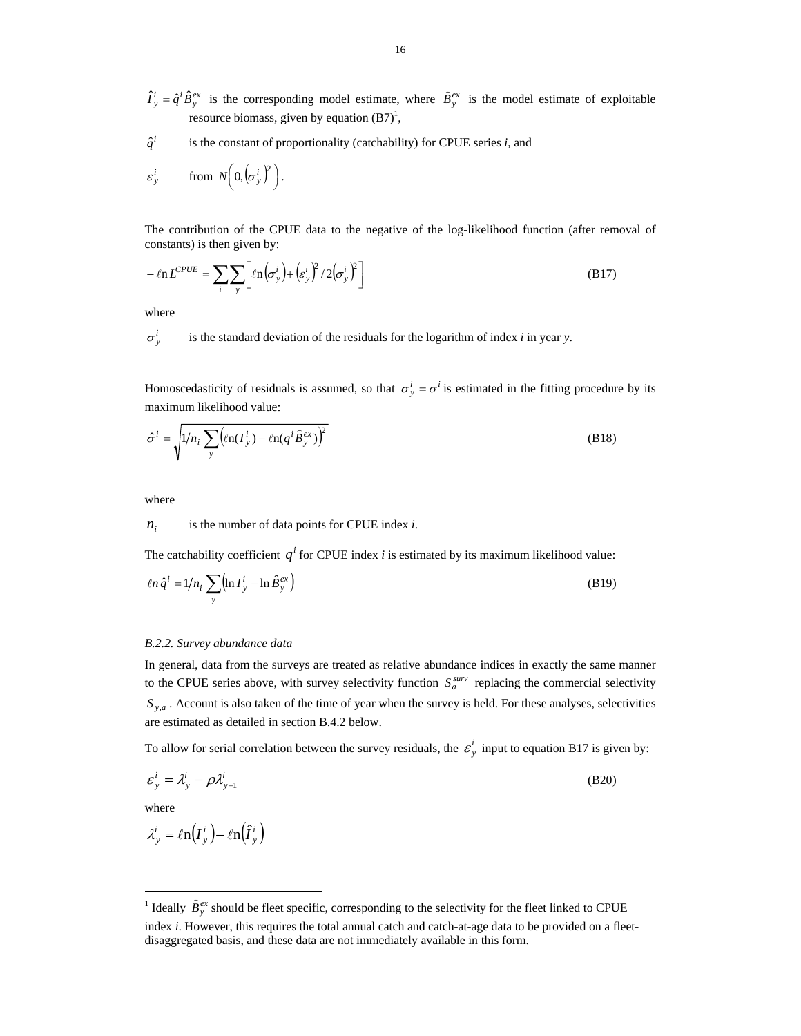$\hat{I}^i_y = \hat{q}^i \hat{B}^{ex}_y$  is the corresponding model estimate, where  $\hat{B}^{ex}_y$  is the model estimate of exploitable resource biomass, given by equation  $(B7)^1$ ,

 $\hat{q}^i$  is the constant of proportionality (catchability) for CPUE series *i*, and

$$
\varepsilon_y^i
$$
 from  $N\left(0, \left(\sigma_y^i\right)^2\right)$ .

The contribution of the CPUE data to the negative of the log-likelihood function (after removal of constants) is then given by:

$$
-\ln L^{CPUE} = \sum_{i} \sum_{y} \left[ \ln \left( \sigma_{y}^{i} \right) + \left( \varepsilon_{y}^{i} \right)^{2} / 2 \left( \sigma_{y}^{i} \right)^{2} \right]
$$
(B17)

where

 $\sigma_v^i$  is the standard deviation of the residuals for the logarithm of index *i* in year *y*.

Homoscedasticity of residuals is assumed, so that  $\sigma_y^i = \sigma_j^i$  is estimated in the fitting procedure by its maximum likelihood value:

$$
\hat{\sigma}^i = \sqrt{1/n_i \sum_{y} \left( \ln(I_y^i) - \ln(q^i \hat{B}_y^{\text{ex}}) \right)^2}
$$
\n(B18)

where

 $n_i$  is the number of data points for CPUE index *i*.

The catchability coefficient  $q^i$  for CPUE index *i* is estimated by its maximum likelihood value:

$$
ln \hat{q}^i = 1/n_i \sum_{y} \left( \ln I_y^i - \ln \hat{B}_y^{ex} \right)
$$
 (B19)

#### *B.2.2. Survey abundance data*

In general, data from the surveys are treated as relative abundance indices in exactly the same manner to the CPUE series above, with survey selectivity function  $S_a^{surv}$  replacing the commercial selectivity  $S_{y,a}$ . Account is also taken of the time of year when the survey is held. For these analyses, selectivities are estimated as detailed in section B.4.2 below.

To allow for serial correlation between the survey residuals, the  $\varepsilon_y^i$  input to equation B17 is given by:

$$
\varepsilon_y^i = \lambda_y^i - \rho \lambda_{y-1}^i \tag{B20}
$$

where

l

$$
\lambda_{y}^{i} = \ell n \left(I_{y}^{i}\right) - \ell n \left(\hat{I}_{y}^{i}\right)
$$

<sup>&</sup>lt;sup>1</sup> Ideally  $\hat{B}_{y}^{ex}$  should be fleet specific, corresponding to the selectivity for the fleet linked to CPUE index *i*. However, this requires the total annual catch and catch-at-age data to be provided on a fleetdisaggregated basis, and these data are not immediately available in this form.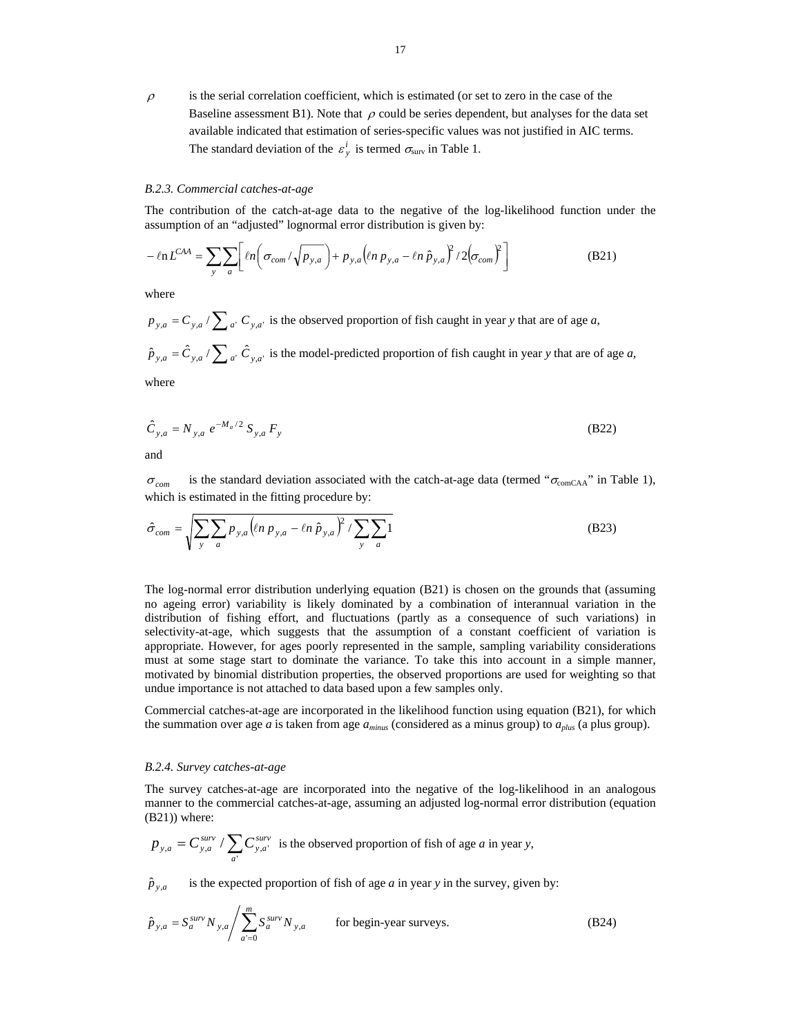$\rho$  is the serial correlation coefficient, which is estimated (or set to zero in the case of the Baseline assessment B1). Note that  $\rho$  could be series dependent, but analyses for the data set available indicated that estimation of series-specific values was not justified in AIC terms. The standard deviation of the  $\varepsilon_y^i$  is termed  $\sigma_{\text{surv}}$  in Table 1.

#### *B.2.3. Commercial catches-at-age*

The contribution of the catch-at-age data to the negative of the log-likelihood function under the assumption of an "adjusted" lognormal error distribution is given by:

$$
-\ln L^{CAA} = \sum_{y} \sum_{a} \left[ \ln \left( \sigma_{com} / \sqrt{p_{y,a}} \right) + p_{y,a} \left( \ln p_{y,a} - \ln \hat{p}_{y,a} \right)^2 / 2 \left( \sigma_{com} \right)^2 \right]
$$
(B21)

where

 $p_{y,a} = C_{y,a} / \sum_{a'} C_{y,a'}$  is the observed proportion of fish caught in year *y* that are of age *a*,  $\hat{p}_{y,a} = \hat{C}_{y,a} / \sum_{a'} \hat{C}_{y,a'}$  is the model-predicted proportion of fish caught in year *y* that are of age *a*,

where

$$
\hat{C}_{y,a} = N_{y,a} e^{-M_a/2} S_{y,a} F_y
$$
\n(B22)

and

 $\sigma_{com}$  is the standard deviation associated with the catch-at-age data (termed " $\sigma_{comCAA}$ " in Table 1), which is estimated in the fitting procedure by:

$$
\hat{\sigma}_{com} = \sqrt{\sum_{y} \sum_{a} p_{y,a} \left( \ln p_{y,a} - \ln \hat{p}_{y,a} \right)^2 / \sum_{y} \sum_{a} 1}
$$
\n(B23)

The log-normal error distribution underlying equation (B21) is chosen on the grounds that (assuming no ageing error) variability is likely dominated by a combination of interannual variation in the distribution of fishing effort, and fluctuations (partly as a consequence of such variations) in selectivity-at-age, which suggests that the assumption of a constant coefficient of variation is appropriate. However, for ages poorly represented in the sample, sampling variability considerations must at some stage start to dominate the variance. To take this into account in a simple manner, motivated by binomial distribution properties, the observed proportions are used for weighting so that undue importance is not attached to data based upon a few samples only.

Commercial catches-at-age are incorporated in the likelihood function using equation (B21), for which the summation over age *a* is taken from age *aminus* (considered as a minus group) to *aplus* (a plus group).

#### *B.2.4. Survey catches-at-age*

The survey catches-at-age are incorporated into the negative of the log-likelihood in an analogous manner to the commercial catches-at-age, assuming an adjusted log-normal error distribution (equation (B21)) where:

$$
p_{y,a} = C_{y,a}^{surv} / \sum_{a'} C_{y,a'}^{surv}
$$
 is the observed proportion of fish of age *a* in year *y*,

 $\hat{p}_{y,a}$  is the expected proportion of fish of age *a* in year *y* in the survey, given by:

$$
\hat{p}_{y,a} = S_a^{surv} N_{y,a} / \sum_{a=0}^{m} S_a^{surv} N_{y,a}
$$
 for begin-year surveys. (B24)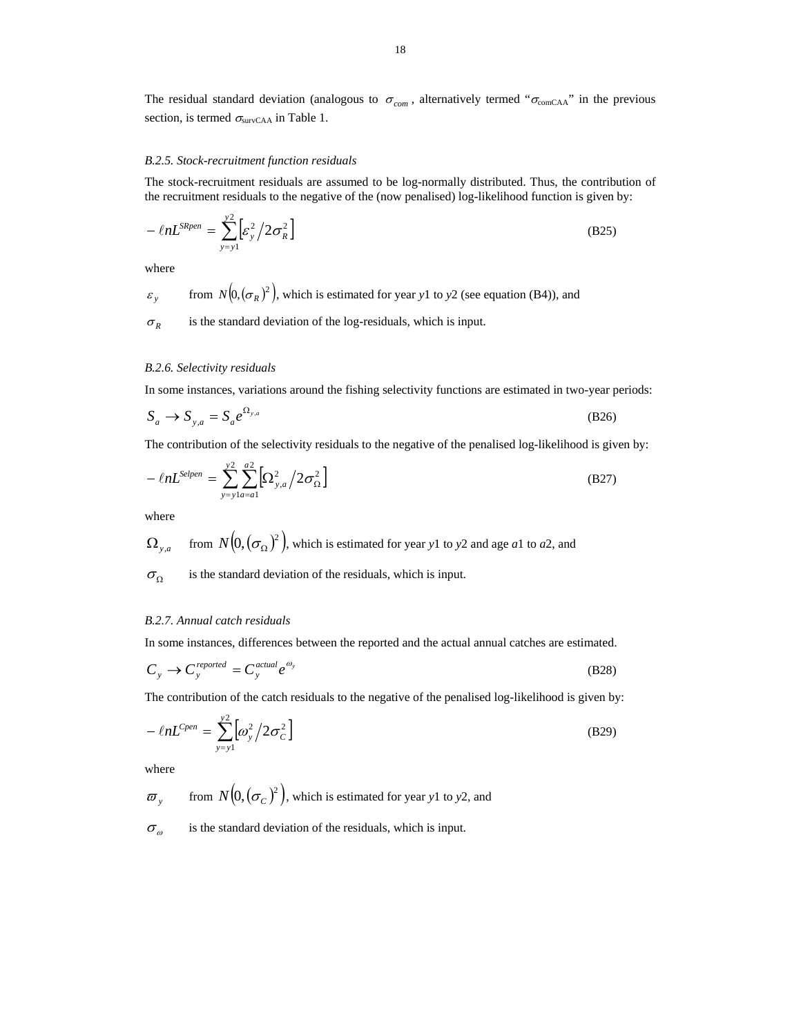The residual standard deviation (analogous to  $\sigma_{com}$ , alternatively termed " $\sigma_{comCAA}$ " in the previous section, is termed  $\sigma_{\text{survCAA}}$  in Table 1.

#### *B.2.5. Stock-recruitment function residuals*

The stock-recruitment residuals are assumed to be log-normally distributed. Thus, the contribution of the recruitment residuals to the negative of the (now penalised) log-likelihood function is given by:

$$
-\ln L^{SRen} = \sum_{y=y1}^{y2} \left[ \varepsilon_y^2 / 2 \sigma_R^2 \right]
$$
 (B25)

where

$$
\varepsilon
$$
<sub>y</sub> from  $N(0, (\sigma_R)^2)$ , which is estimated for year y1 to y2 (see equation (B4)), and

 $\sigma_R$  is the standard deviation of the log-residuals, which is input.

## *B.2.6. Selectivity residuals*

In some instances, variations around the fishing selectivity functions are estimated in two-year periods:

$$
S_a \to S_{y,a} = S_a e^{\Omega_{y,a}} \tag{B26}
$$

The contribution of the selectivity residuals to the negative of the penalised log-likelihood is given by:

$$
-\ln L^{\text{Selpen}} = \sum_{y=y1a=a1}^{y2} \left[ \Omega_{y,a}^2 \middle/ 2\sigma_{\Omega}^2 \right]
$$
 (B27)

where

$$
\Omega_{y,a}
$$
 from  $N(0, (\sigma_{\Omega})^2)$ , which is estimated for year y1 to y2 and age a1 to a2, and

 $\sigma_{\Omega}$  is the standard deviation of the residuals, which is input.

#### *B.2.7. Annual catch residuals*

 $\overline{a}$ 

In some instances, differences between the reported and the actual annual catches are estimated.

$$
C_y \to C_y^{\text{reprotected}} = C_y^{\text{actual}} e^{\omega_y} \tag{B28}
$$

The contribution of the catch residuals to the negative of the penalised log-likelihood is given by:

$$
-\ell n L^{Cpen} = \sum_{y=y1}^{y2} \left[ \omega_y^2 / 2\sigma_C^2 \right]
$$
 (B29)

where

 $\varpi$ <sub>y</sub> from  $N(0, (\sigma_c)^2)$ , which is estimated for year y1 to y2, and

 $\sigma_{\omega}$  is the standard deviation of the residuals, which is input.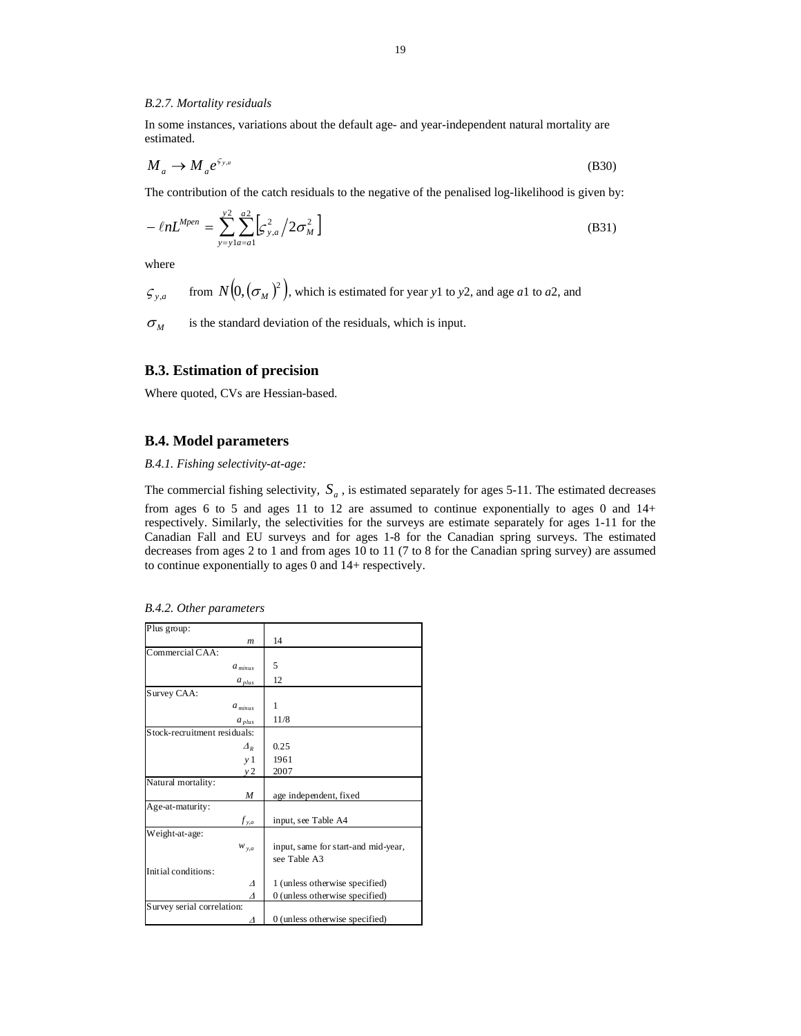#### *B.2.7. Mortality residuals*

In some instances, variations about the default age- and year-independent natural mortality are estimated.

$$
M_a \to M_a e^{\zeta_{y,a}}
$$
 (B30)

The contribution of the catch residuals to the negative of the penalised log-likelihood is given by:

$$
-\ln L^{Mpen} = \sum_{y=y}^{y^2} \sum_{a=a}^{a^2} \left[ \zeta_{y,a}^2 / 2 \sigma_M^2 \right]
$$
 (B31)

where

$$
\varsigma_{y,a}
$$
 from  $N(0, (\sigma_M)^2)$ , which is estimated for year y1 to y2, and age a1 to a2, and

 $\sigma_M$  is the standard deviation of the residuals, which is input.

## **B.3. Estimation of precision**

Where quoted, CVs are Hessian-based.

#### **B.4. Model parameters**

*B.4.1. Fishing selectivity-at-age:* 

The commercial fishing selectivity,  $S_a$ , is estimated separately for ages 5-11. The estimated decreases

from ages 6 to 5 and ages 11 to 12 are assumed to continue exponentially to ages 0 and 14+ respectively. Similarly, the selectivities for the surveys are estimate separately for ages 1-11 for the Canadian Fall and EU surveys and for ages 1-8 for the Canadian spring surveys. The estimated decreases from ages 2 to 1 and from ages 10 to 11 (7 to 8 for the Canadian spring survey) are assumed to continue exponentially to ages 0 and 14+ respectively.

| Plus group:                  |                                     |
|------------------------------|-------------------------------------|
| $\boldsymbol{m}$             | 14                                  |
| Commercial CAA:              |                                     |
| $a_{minus}$                  | 5                                   |
| $a_{ plus}$                  | 12                                  |
| Survey CAA:                  |                                     |
| $a_{minus}$                  | 1                                   |
| $a_{ plus}$                  | 11/8                                |
| Stock-recruitment residuals: |                                     |
| $\varDelta_R$                | 0.25                                |
| y <sub>1</sub>               | 1961                                |
| y2                           | 2007                                |
| Natural mortality:           |                                     |
| M                            | age independent, fixed              |
| Age-at-maturity:             |                                     |
| $f_{y,a}$                    | input, see Table A4                 |
| Weight-at-age:               |                                     |
| $W_{y,a}$                    | input, same for start-and mid-year, |
|                              | see Table A3                        |
| Initial conditions:          |                                     |
| Δ                            | 1 (unless otherwise specified)      |
| Δ                            | 0 (unless otherwise specified)      |
| Survey serial correlation:   |                                     |
| Λ                            | 0 (unless otherwise specified)      |

*B.4.2. Other parameters*